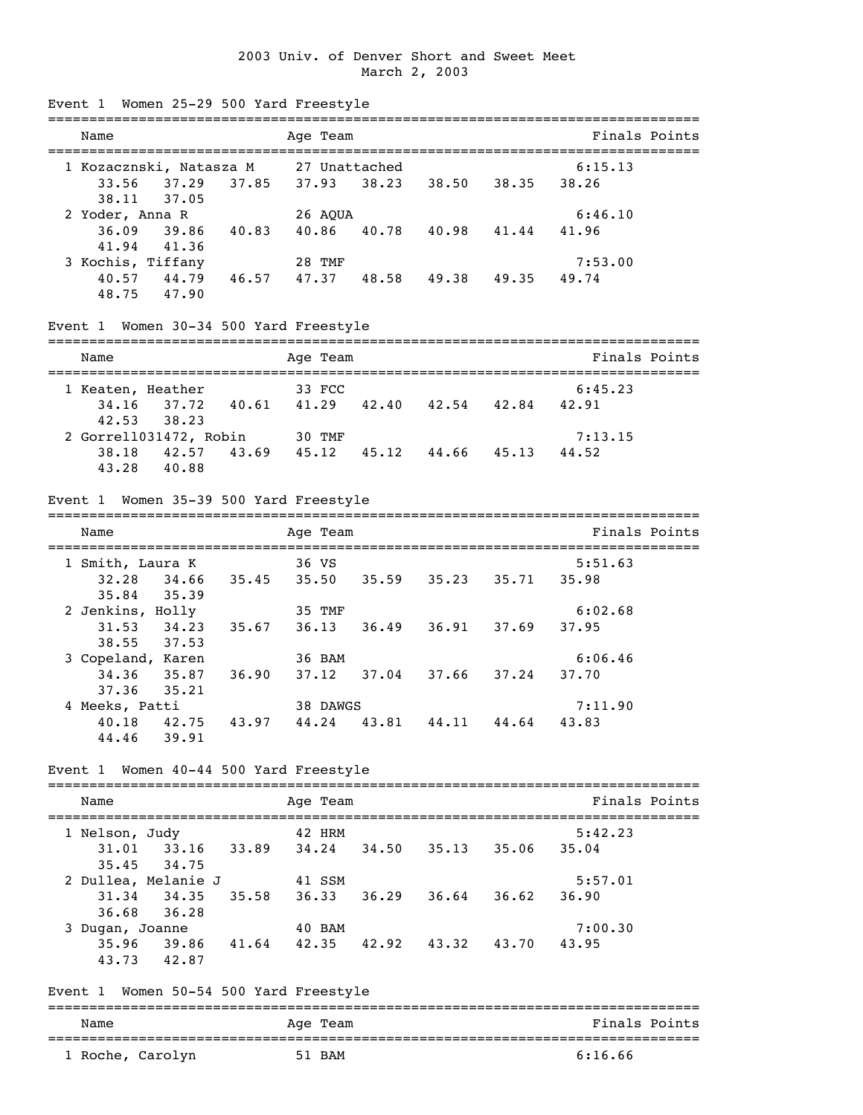| ------------<br>Age Team<br>Finals Points<br>Name<br>===================<br>1 Kozacznski, Natasza M<br>27 Unattached<br>6:15.13<br>38.23 38.50 38.35<br>37.29 37.85<br>37.93<br>33.56<br>38.26<br>37.05<br>38.11<br>2 Yoder, Anna R<br>26 AQUA<br>6:46.10<br>39.86 40.83<br>40.86 40.78 40.98 41.44<br>36.09<br>41.96<br>41.94<br>41.36<br>3 Kochis, Tiffany<br>28 TMF<br>7:53.00<br>40.57<br>44.79 46.57 47.37 48.58 49.38 49.35<br>49.74<br>48.75<br>47.90<br>Event 1 Women 30-34 500 Yard Freestyle<br>Name<br>Age Team<br>Finals Points<br>33 FCC<br>6:45.23<br>1 Keaten, Heather<br>37.72 40.61<br>41.29 42.40 42.54 42.84 42.91<br>34.16<br>42.53<br>38.23<br>2 Gorrel1031472, Robin 30 TMF<br>7:13.15<br>42.57 43.69 45.12 45.12 44.66 45.13<br>44.52<br>38.18<br>43.28<br>40.88<br>Event 1 Women 35-39 500 Yard Freestyle<br>Finals Points<br>Age Team<br>Name<br>1 Smith, Laura K<br>36 VS<br>5:51.63<br>34.66<br>35.45 35.50 35.59 35.23 35.71<br>35.98<br>32.28<br>35.39<br>35.84<br>2 Jenkins, Holly<br>6:02.68<br>35 TMF<br>$34.23$ $35.67$<br>36.49 36.91 37.69<br>31.53<br>36.13<br>37.95<br>37.53<br>38.55<br>3 Copeland, Karen<br>6:06.46<br>36 BAM<br>36.90<br>37.12<br>37.04<br>37.66 37.24<br>37.70<br>$34.36$ $35.87$<br>37.36<br>35.21<br>4 Meeks, Patti<br>38 DAWGS<br>7:11.90<br>42.75<br>43.97<br>44.24<br>43.81 44.11 44.64<br>43.83<br>40.18<br>44.46<br>39.91<br>Women 40-44 500 Yard Freestyle<br>Event 1<br>Finals Points<br>Name<br>Age Team<br>--------------------<br>--------------<br>1 Nelson, Judy<br>42 HRM<br>5:42.23<br>31.01 33.16 33.89 34.24 34.50 35.13 35.06<br>35.04<br>34.75<br>35.45<br>2 Dullea, Melanie J<br>41 SSM<br>5:57.01<br>$36.33$ $36.29$ $36.64$ $36.62$<br>35.58<br>36.90<br>31.34<br>34.35<br>36.68<br>36.28<br>40 BAM<br>7:00.30<br>3 Dugan, Joanne<br>42.35<br>42.92 43.32 43.70<br>43.95<br>35.96<br>39.86<br>41.64<br>42.87<br>43.73<br>Women 50-54 500 Yard Freestyle<br>Event 1<br>Finals Points<br>Name<br>Age Team | Event 1 Women 25-29 500 Yard Freestyle |  |  |  |
|-----------------------------------------------------------------------------------------------------------------------------------------------------------------------------------------------------------------------------------------------------------------------------------------------------------------------------------------------------------------------------------------------------------------------------------------------------------------------------------------------------------------------------------------------------------------------------------------------------------------------------------------------------------------------------------------------------------------------------------------------------------------------------------------------------------------------------------------------------------------------------------------------------------------------------------------------------------------------------------------------------------------------------------------------------------------------------------------------------------------------------------------------------------------------------------------------------------------------------------------------------------------------------------------------------------------------------------------------------------------------------------------------------------------------------------------------------------------------------------------------------------------------------------------------------------------------------------------------------------------------------------------------------------------------------------------------------------------------------------------------------------------------------------------------------------------------------------------------------------------------------------------------------------------------------------------------------------------------------------------|----------------------------------------|--|--|--|
|                                                                                                                                                                                                                                                                                                                                                                                                                                                                                                                                                                                                                                                                                                                                                                                                                                                                                                                                                                                                                                                                                                                                                                                                                                                                                                                                                                                                                                                                                                                                                                                                                                                                                                                                                                                                                                                                                                                                                                                         |                                        |  |  |  |
|                                                                                                                                                                                                                                                                                                                                                                                                                                                                                                                                                                                                                                                                                                                                                                                                                                                                                                                                                                                                                                                                                                                                                                                                                                                                                                                                                                                                                                                                                                                                                                                                                                                                                                                                                                                                                                                                                                                                                                                         |                                        |  |  |  |
|                                                                                                                                                                                                                                                                                                                                                                                                                                                                                                                                                                                                                                                                                                                                                                                                                                                                                                                                                                                                                                                                                                                                                                                                                                                                                                                                                                                                                                                                                                                                                                                                                                                                                                                                                                                                                                                                                                                                                                                         |                                        |  |  |  |
|                                                                                                                                                                                                                                                                                                                                                                                                                                                                                                                                                                                                                                                                                                                                                                                                                                                                                                                                                                                                                                                                                                                                                                                                                                                                                                                                                                                                                                                                                                                                                                                                                                                                                                                                                                                                                                                                                                                                                                                         |                                        |  |  |  |
|                                                                                                                                                                                                                                                                                                                                                                                                                                                                                                                                                                                                                                                                                                                                                                                                                                                                                                                                                                                                                                                                                                                                                                                                                                                                                                                                                                                                                                                                                                                                                                                                                                                                                                                                                                                                                                                                                                                                                                                         |                                        |  |  |  |
|                                                                                                                                                                                                                                                                                                                                                                                                                                                                                                                                                                                                                                                                                                                                                                                                                                                                                                                                                                                                                                                                                                                                                                                                                                                                                                                                                                                                                                                                                                                                                                                                                                                                                                                                                                                                                                                                                                                                                                                         |                                        |  |  |  |
|                                                                                                                                                                                                                                                                                                                                                                                                                                                                                                                                                                                                                                                                                                                                                                                                                                                                                                                                                                                                                                                                                                                                                                                                                                                                                                                                                                                                                                                                                                                                                                                                                                                                                                                                                                                                                                                                                                                                                                                         |                                        |  |  |  |
|                                                                                                                                                                                                                                                                                                                                                                                                                                                                                                                                                                                                                                                                                                                                                                                                                                                                                                                                                                                                                                                                                                                                                                                                                                                                                                                                                                                                                                                                                                                                                                                                                                                                                                                                                                                                                                                                                                                                                                                         |                                        |  |  |  |
|                                                                                                                                                                                                                                                                                                                                                                                                                                                                                                                                                                                                                                                                                                                                                                                                                                                                                                                                                                                                                                                                                                                                                                                                                                                                                                                                                                                                                                                                                                                                                                                                                                                                                                                                                                                                                                                                                                                                                                                         |                                        |  |  |  |
|                                                                                                                                                                                                                                                                                                                                                                                                                                                                                                                                                                                                                                                                                                                                                                                                                                                                                                                                                                                                                                                                                                                                                                                                                                                                                                                                                                                                                                                                                                                                                                                                                                                                                                                                                                                                                                                                                                                                                                                         |                                        |  |  |  |
|                                                                                                                                                                                                                                                                                                                                                                                                                                                                                                                                                                                                                                                                                                                                                                                                                                                                                                                                                                                                                                                                                                                                                                                                                                                                                                                                                                                                                                                                                                                                                                                                                                                                                                                                                                                                                                                                                                                                                                                         |                                        |  |  |  |
|                                                                                                                                                                                                                                                                                                                                                                                                                                                                                                                                                                                                                                                                                                                                                                                                                                                                                                                                                                                                                                                                                                                                                                                                                                                                                                                                                                                                                                                                                                                                                                                                                                                                                                                                                                                                                                                                                                                                                                                         |                                        |  |  |  |
|                                                                                                                                                                                                                                                                                                                                                                                                                                                                                                                                                                                                                                                                                                                                                                                                                                                                                                                                                                                                                                                                                                                                                                                                                                                                                                                                                                                                                                                                                                                                                                                                                                                                                                                                                                                                                                                                                                                                                                                         |                                        |  |  |  |
|                                                                                                                                                                                                                                                                                                                                                                                                                                                                                                                                                                                                                                                                                                                                                                                                                                                                                                                                                                                                                                                                                                                                                                                                                                                                                                                                                                                                                                                                                                                                                                                                                                                                                                                                                                                                                                                                                                                                                                                         |                                        |  |  |  |
|                                                                                                                                                                                                                                                                                                                                                                                                                                                                                                                                                                                                                                                                                                                                                                                                                                                                                                                                                                                                                                                                                                                                                                                                                                                                                                                                                                                                                                                                                                                                                                                                                                                                                                                                                                                                                                                                                                                                                                                         |                                        |  |  |  |
|                                                                                                                                                                                                                                                                                                                                                                                                                                                                                                                                                                                                                                                                                                                                                                                                                                                                                                                                                                                                                                                                                                                                                                                                                                                                                                                                                                                                                                                                                                                                                                                                                                                                                                                                                                                                                                                                                                                                                                                         |                                        |  |  |  |
|                                                                                                                                                                                                                                                                                                                                                                                                                                                                                                                                                                                                                                                                                                                                                                                                                                                                                                                                                                                                                                                                                                                                                                                                                                                                                                                                                                                                                                                                                                                                                                                                                                                                                                                                                                                                                                                                                                                                                                                         |                                        |  |  |  |
|                                                                                                                                                                                                                                                                                                                                                                                                                                                                                                                                                                                                                                                                                                                                                                                                                                                                                                                                                                                                                                                                                                                                                                                                                                                                                                                                                                                                                                                                                                                                                                                                                                                                                                                                                                                                                                                                                                                                                                                         |                                        |  |  |  |
|                                                                                                                                                                                                                                                                                                                                                                                                                                                                                                                                                                                                                                                                                                                                                                                                                                                                                                                                                                                                                                                                                                                                                                                                                                                                                                                                                                                                                                                                                                                                                                                                                                                                                                                                                                                                                                                                                                                                                                                         |                                        |  |  |  |
|                                                                                                                                                                                                                                                                                                                                                                                                                                                                                                                                                                                                                                                                                                                                                                                                                                                                                                                                                                                                                                                                                                                                                                                                                                                                                                                                                                                                                                                                                                                                                                                                                                                                                                                                                                                                                                                                                                                                                                                         |                                        |  |  |  |
|                                                                                                                                                                                                                                                                                                                                                                                                                                                                                                                                                                                                                                                                                                                                                                                                                                                                                                                                                                                                                                                                                                                                                                                                                                                                                                                                                                                                                                                                                                                                                                                                                                                                                                                                                                                                                                                                                                                                                                                         |                                        |  |  |  |
|                                                                                                                                                                                                                                                                                                                                                                                                                                                                                                                                                                                                                                                                                                                                                                                                                                                                                                                                                                                                                                                                                                                                                                                                                                                                                                                                                                                                                                                                                                                                                                                                                                                                                                                                                                                                                                                                                                                                                                                         |                                        |  |  |  |

1 Roche, Carolyn 51 BAM 6:16.66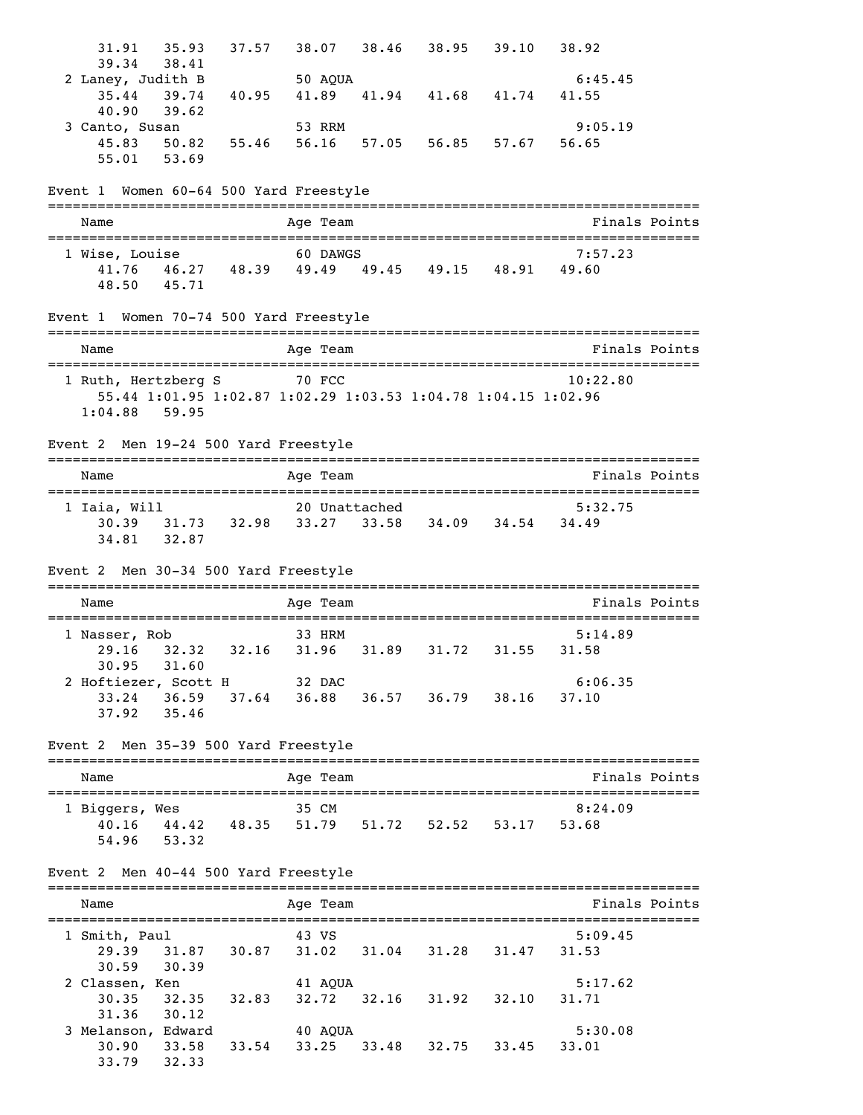| 31.91                                  | 35.93          | 37.57             | 38.07                                                         | 38.46 | 38.95                   | 39.10 | 38.92            |               |
|----------------------------------------|----------------|-------------------|---------------------------------------------------------------|-------|-------------------------|-------|------------------|---------------|
| 39.34                                  | 38.41          |                   |                                                               |       |                         |       |                  |               |
| 2 Laney, Judith B                      |                |                   | 50 AQUA                                                       |       |                         |       | 6:45.45          |               |
| 35.44<br>40.90                         | 39.74<br>39.62 | 40.95             | 41.89                                                         |       | $41.94$ $41.68$ $41.74$ |       | 41.55            |               |
| 3 Canto, Susan                         |                |                   | 53 RRM                                                        |       |                         |       | 9:05.19          |               |
|                                        |                | 45.83 50.82 55.46 | 56.16 57.05 56.85 57.67                                       |       |                         |       | 56.65            |               |
| $55.01$ $53.69$                        |                |                   |                                                               |       |                         |       |                  |               |
| Event 1 Women 60-64 500 Yard Freestyle |                |                   |                                                               |       |                         |       |                  |               |
| Name                                   |                |                   | Age Team                                                      |       |                         |       |                  | Finals Points |
| 1 Wise, Louise                         |                |                   | 60 DAWGS                                                      |       |                         |       | 7:57.23          |               |
|                                        |                |                   | 41.76 46.27 48.39 49.49 49.45 49.15 48.91 49.60               |       |                         |       |                  |               |
| 48.50                                  | 45.71          |                   |                                                               |       |                         |       |                  |               |
| Event 1 Women 70-74 500 Yard Freestyle |                |                   | --------------------------------                              |       |                         |       |                  |               |
| Name                                   |                |                   | Age Team                                                      |       |                         |       |                  | Finals Points |
| 1 Ruth, Hertzberg S 70 FCC             |                |                   |                                                               |       |                         |       | 10:22.80         |               |
|                                        |                |                   | 55.44 1:01.95 1:02.87 1:02.29 1:03.53 1:04.78 1:04.15 1:02.96 |       |                         |       |                  |               |
| $1:04.88$ 59.95                        |                |                   |                                                               |       |                         |       |                  |               |
| Event 2 Men 19-24 500 Yard Freestyle   |                |                   |                                                               |       |                         |       |                  |               |
| Name                                   |                |                   | Age Team                                                      |       |                         |       |                  | Finals Points |
| 1 Iaia, Will                           |                |                   | 20 Unattached                                                 |       |                         |       | 5:32.75          |               |
|                                        |                |                   | 30.39 31.73 32.98 33.27 33.58 34.09 34.54 34.49               |       |                         |       |                  |               |
| 34.81                                  | 32.87          |                   |                                                               |       |                         |       |                  |               |
| Event 2 Men 30-34 500 Yard Freestyle   |                |                   |                                                               |       |                         |       |                  |               |
| Name                                   |                |                   | Age Team                                                      |       |                         |       |                  | Finals Points |
| 1 Nasser, Rob                          |                |                   | 33 HRM                                                        |       |                         |       | 5:14.89          |               |
|                                        |                | 29.16 32.32 32.16 | 31.96                                                         |       | 31.89 31.72 31.55       |       | 31.58            |               |
| 30.95                                  | 31.60          |                   |                                                               |       |                         |       |                  |               |
| 2 Hoftiezer, Scott H                   |                |                   | 32 DAC                                                        |       |                         |       | 6:06.35          |               |
|                                        |                | 33.24 36.59 37.64 | 36.88                                                         |       | $36.57$ $36.79$ $38.16$ |       | 37.10            |               |
| 37.92 35.46                            |                |                   |                                                               |       |                         |       |                  |               |
| Event 2 Men 35-39 500 Yard Freestyle   |                |                   |                                                               |       |                         |       |                  |               |
| Name                                   |                |                   | Age Team                                                      |       |                         |       |                  | Finals Points |
|                                        |                |                   |                                                               |       |                         |       |                  |               |
|                                        |                |                   | 35 CM                                                         |       |                         |       | 8:24.09          |               |
| 1 Biggers, Wes                         |                |                   |                                                               |       |                         |       | 53.68            |               |
| 54.96                                  | 53.32          |                   | 40.16 44.42 48.35 51.79 51.72 52.52 53.17                     |       |                         |       |                  |               |
| Event 2 Men 40-44 500 Yard Freestyle   |                |                   |                                                               |       |                         |       |                  |               |
| Name                                   |                |                   | Age Team                                                      |       |                         |       |                  | Finals Points |
|                                        |                |                   |                                                               |       |                         |       |                  |               |
| 1 Smith, Paul<br>29.39                 |                |                   | 43 VS                                                         |       | 31.02 31.04 31.28 31.47 |       | 5:09.45<br>31.53 |               |
| 30.59                                  | 30.39          | $31.87$ $30.87$   |                                                               |       |                         |       |                  |               |
| 2 Classen, Ken                         |                |                   | 41 AQUA                                                       |       |                         |       | 5:17.62          |               |
| 30.35                                  |                | 32.35 32.83       | 32.72                                                         |       | 32.16 31.92 32.10       |       | 31.71            |               |
| 31.36                                  | 30.12          |                   |                                                               |       |                         |       |                  |               |
| 3 Melanson, Edward                     |                |                   | 40 AQUA                                                       |       |                         |       | 5:30.08          |               |
| 33.79                                  | 32.33          | 30.90 33.58 33.54 | 33.25                                                         |       | 33.48 32.75 33.45       |       | 33.01            |               |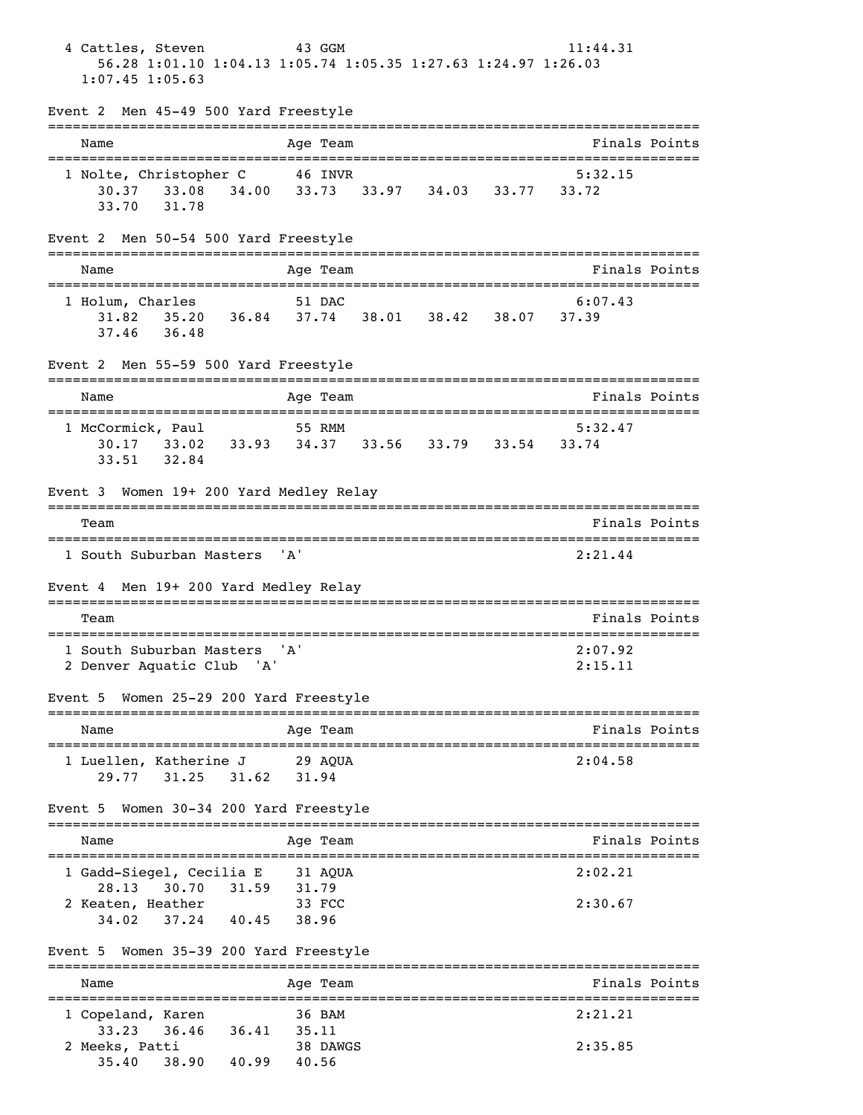| 4 Cattles, Steven<br>56.28 1:01.10 1:04.13 1:05.74 1:05.35 1:27.63 1:24.97 1:26.03<br>$1:07.45$ 1:05.63                                  | 43 GGM                     | 11:44.31                    |
|------------------------------------------------------------------------------------------------------------------------------------------|----------------------------|-----------------------------|
| Event 2 Men 45-49 500 Yard Freestyle                                                                                                     |                            |                             |
| Name                                                                                                                                     | Age Team                   | Finals Points               |
| 1 Nolte, Christopher C<br>30.37 33.08 34.00 33.73 33.97 34.03 33.77 33.72<br>31.78<br>33.70                                              | 46 INVR                    | 5:32.15                     |
| Event 2 Men 50-54 500 Yard Freestyle                                                                                                     |                            |                             |
| Name                                                                                                                                     | Age Team                   | Finals Points               |
| 1 Holum, Charles<br>$31.82 \qquad 35.20 \qquad 36.84 \qquad 37.74 \qquad 38.01 \qquad 38.42 \qquad 38.07 \qquad 37.39$<br>37.46<br>36.48 | 51 DAC                     | 6:07.43                     |
| Event 2 Men 55-59 500 Yard Freestyle                                                                                                     |                            |                             |
| Name                                                                                                                                     | Age Team                   | Finals Points               |
| 1 McCormick, Paul<br>$30.17$ $33.02$ $33.93$ $34.37$ $33.56$ $33.79$ $33.54$ $33.74$<br>33.51 32.84                                      | 55 RMM                     | ================<br>5:32.47 |
| Event 3 Women 19+ 200 Yard Medley Relay                                                                                                  |                            |                             |
| Team                                                                                                                                     |                            | Finals Points               |
| 1 South Suburban Masters<br>Event 4 Men 19+ 200 Yard Medley Relay                                                                        | 'A'                        | 2:21.44                     |
| Team                                                                                                                                     |                            | Finals Points               |
| 1 South Suburban Masters<br>2 Denver Aquatic Club 'A'                                                                                    | 'A'                        | 2:07.92<br>2:15.11          |
| Event 5 Women 25-29 200 Yard Freestyle                                                                                                   |                            |                             |
| Name                                                                                                                                     | Age Team                   | Finals Points               |
| 1 Luellen, Katherine J<br>31.25<br>29.77                                                                                                 | 29 AQUA<br>$31.62$ $31.94$ | 2:04.58                     |
| Event 5 Women 30-34 200 Yard Freestyle                                                                                                   |                            |                             |
| Name                                                                                                                                     | Age Team                   | Finals Points               |
| 1 Gadd-Siegel, Cecilia E 31 AQUA                                                                                                         |                            | 2:02.21                     |
| 28.13 30.70 31.59 31.79<br>2 Keaten, Heather<br>34.02 37.24 40.45 38.96                                                                  | 33 FCC                     | 2:30.67                     |
| Event 5 Women 35-39 200 Yard Freestyle                                                                                                   |                            |                             |
| Name                                                                                                                                     | Age Team                   | Finals Points               |
| 1 Copeland, Karen                                                                                                                        | 36 BAM                     | 2:21.21                     |
| 36.46<br>33.23<br>2 Meeks, Patti<br>38.90 40.99 40.56<br>35.40                                                                           | 36.41 35.11<br>38 DAWGS    | 2:35.85                     |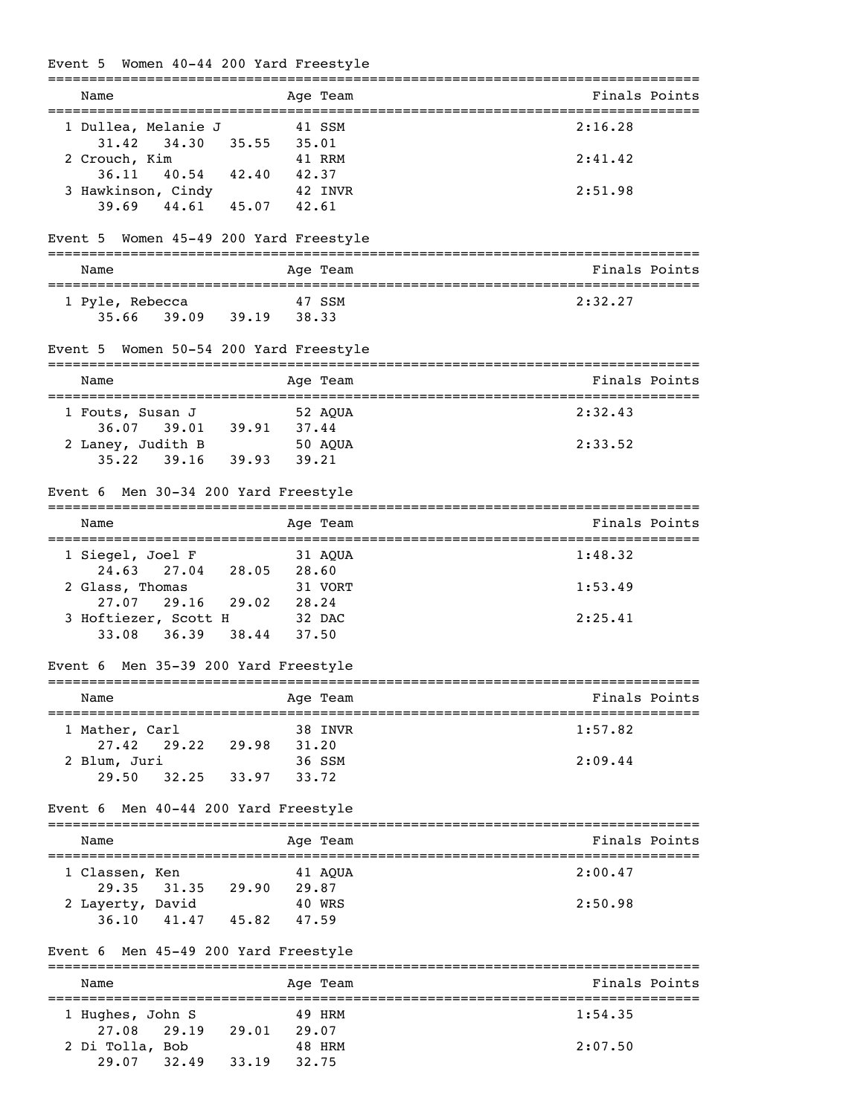# Event 5 Women 40-44 200 Yard Freestyle

| Name                                                      | Age Team                          | Finals Points                  |
|-----------------------------------------------------------|-----------------------------------|--------------------------------|
| 1 Dullea, Melanie J<br>34.30<br>31.42                     | 41 SSM                            | 2:16.28                        |
| 2 Crouch, Kim<br>40.54 42.40 42.37<br>36.11               | $35.55$ $35.01$<br>41 RRM         | 2:41.42                        |
| 3 Hawkinson, Cindy<br>$39.69$ $44.61$ $45.07$ $42.61$     | 42 INVR                           | 2:51.98                        |
|                                                           |                                   |                                |
| Event 5 Women 45-49 200 Yard Freestyle                    |                                   |                                |
| Name                                                      | Age Team                          | Finals Points                  |
| 1 Pyle, Rebecca<br>35.66 39.09 39.19 38.33                | 47 SSM                            | 2:32.27                        |
| Event 5 Women 50-54 200 Yard Freestyle                    |                                   |                                |
| Name                                                      | Age Team                          | Finals Points                  |
| 1 Fouts, Susan J                                          | 52 AQUA                           | 2:32.43                        |
|                                                           |                                   |                                |
| 2 Laney, Judith B                                         | 50 AQUA                           | 2:33.52                        |
| $35.22$ $39.16$ $39.93$ $39.21$                           |                                   |                                |
| Event 6 Men 30-34 200 Yard Freestyle                      |                                   |                                |
| Name                                                      | Age Team                          | Finals Points                  |
| 1 Siegel, Joel F<br>24.63 27.04 28.05                     | 31 AOUA<br>28.60                  | 1:48.32                        |
| 2 Glass, Thomas                                           | 31 VORT                           | 1:53.49                        |
| 29.16 29.02 28.24<br>27.07<br>3 Hoftiezer, Scott H 32 DAC |                                   | 2:25.41                        |
| 33.08 36.39 38.44 37.50                                   |                                   |                                |
| Event 6 Men 35-39 200 Yard Freestyle                      |                                   |                                |
| Name                                                      | =====================<br>Age Team | Finals Points                  |
| 1 Mather, Carl                                            | 38 INVR                           | 1:57.82                        |
| 29.22 29.98 31.20<br>27.42                                |                                   | 2:09.44                        |
| 2 Blum, Juri<br>32.25 33.97<br>29.50                      | 36 SSM<br>33.72                   |                                |
| Event 6 Men 40-44 200 Yard Freestyle                      |                                   |                                |
| Name                                                      | Aqe Team                          | Finals Points                  |
| 1 Classen, Ken                                            | 41 AQUA                           | 2:00.47                        |
| 29.35 31.35 29.90 29.87                                   |                                   |                                |
| 2 Layerty, David                                          | 40 WRS                            | 2:50.98                        |
| 41.47 45.82<br>36.10                                      | 47.59                             |                                |
| Event 6 Men 45-49 200 Yard Freestyle<br>==============    | ==============================    |                                |
| Name                                                      | Age Team                          | Finals Points<br>============= |
| 1 Hughes, John S                                          | 49 HRM                            | 1:54.35                        |
| 29.19<br>27.08<br>2 Di Tolla, Bob                         | 29.01 29.07<br>48 HRM             | 2:07.50                        |
| 29.07 32.49<br>33.19                                      | 32.75                             |                                |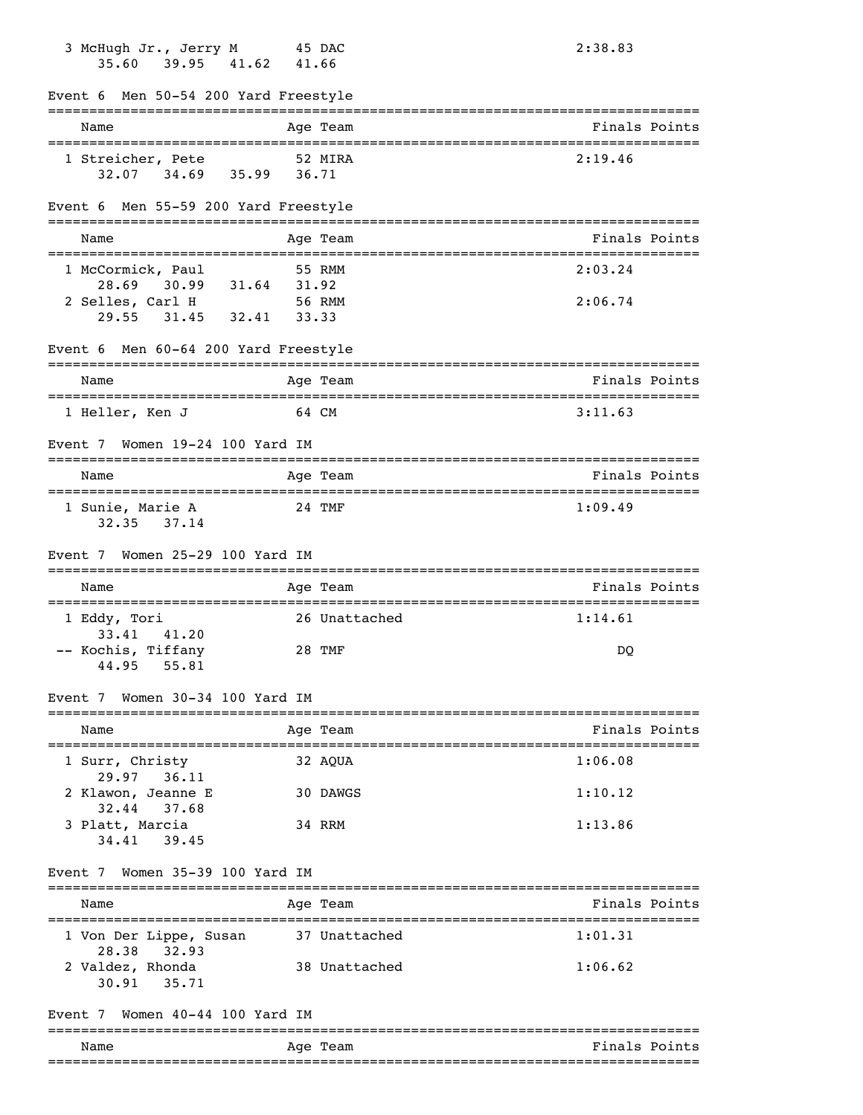| 3 McHugh Jr., Jerry M 45 DAC<br>35.60 39.95 41.62 41.66                      |                                           | 2:38.83       |
|------------------------------------------------------------------------------|-------------------------------------------|---------------|
| Event 6 Men 50-54 200 Yard Freestyle                                         |                                           |               |
| Name                                                                         | Age Team                                  | Finals Points |
| 1 Streicher, Pete<br>32.07 34.69 35.99 36.71                                 | 52 MIRA                                   | 2:19.46       |
| Event 6 Men 55-59 200 Yard Freestyle                                         |                                           |               |
| Name                                                                         | Age Team                                  | Finals Points |
| 1 McCormick, Paul                                                            | 55 RMM                                    | 2:03.24       |
| 28.69 30.99 31.64 31.92<br>2 Selles, Carl H 56 RM<br>29.55 31.45 32.41 33.33 | 56 RMM                                    | 2:06.74       |
| Event 6 Men 60-64 200 Yard Freestyle                                         |                                           |               |
| Name                                                                         | Age Team                                  | Finals Points |
| 1 Heller, Ken J                                                              | 64 CM                                     | 3:11.63       |
| Event 7 Women 19-24 100 Yard IM                                              |                                           |               |
| Name                                                                         | Age Team                                  | Finals Points |
| 1 Sunie, Marie A<br>$32.35$ $37.14$                                          | 24 TMF                                    | 1:09.49       |
| Event 7 Women 25-29 100 Yard IM                                              |                                           |               |
| Name                                                                         | Age Team                                  | Finals Points |
| 1 Eddy, Tori                                                                 | 26 Unattached                             | 1:14.61       |
| 41.20<br>33.41<br>-- Kochis, Tiffany<br>44.95 55.81                          | 28 TMF                                    | DQ            |
| Event 7 Women 30-34 100 Yard IM                                              |                                           |               |
| Name                                                                         | =============================<br>Age Team | Finals Points |
| 1 Surr, Christy                                                              | 32 AQUA                                   | 1:06.08       |
| 29.97<br>36.11<br>2 Klawon, Jeanne E                                         | 30 DAWGS                                  | 1:10.12       |
| 32.44<br>37.68<br>3 Platt, Marcia<br>34.41 39.45                             | 34 RRM                                    | 1:13.86       |
| Women 35-39 100 Yard IM<br>Event 7                                           |                                           |               |
| Name                                                                         | Age Team                                  | Finals Points |
| 1 Von Der Lippe, Susan                                                       | 37 Unattached                             | 1:01.31       |
| 28.38<br>32.93<br>2 Valdez, Rhonda<br>35.71<br>30.91                         | 38 Unattached                             | 1:06.62       |
| Event 7 Women 40-44 100 Yard IM                                              |                                           |               |
| Name                                                                         | -------------<br>Age Team                 | Finals Points |
|                                                                              |                                           |               |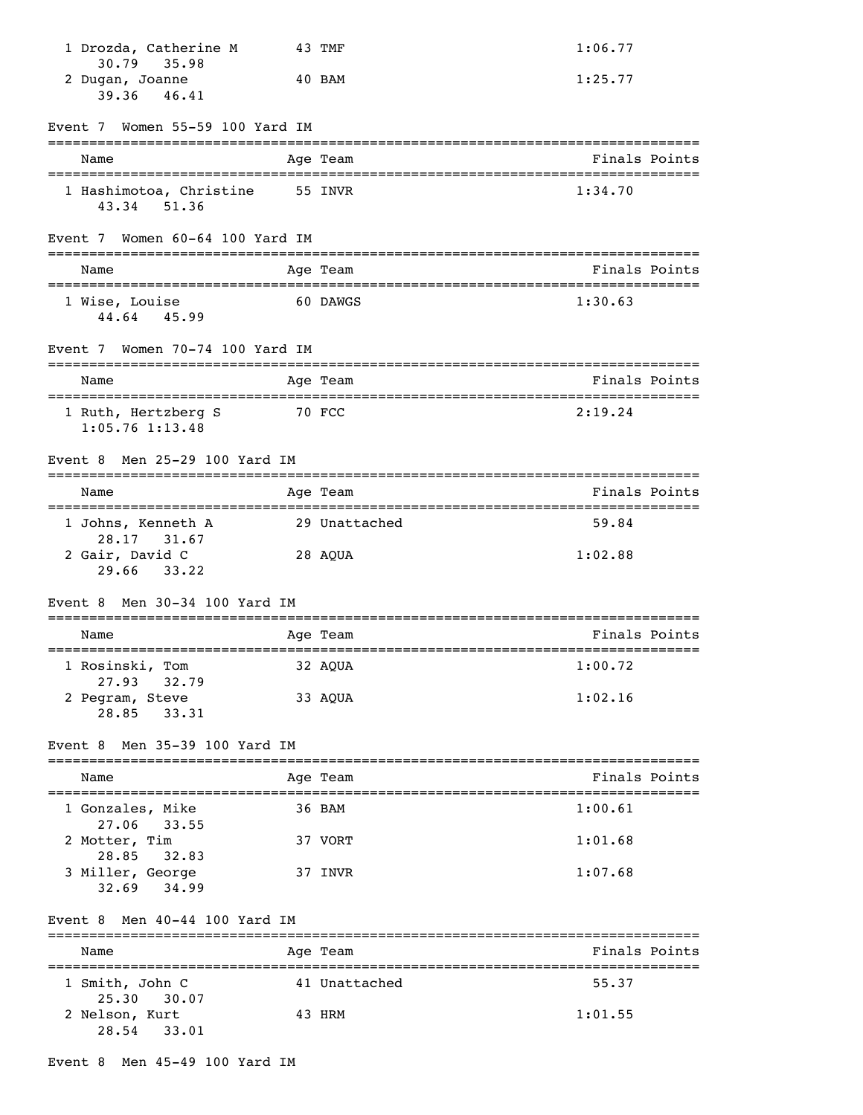| 1 Drozda, Catherine M<br>30.79 35.98                                   | 43 TMF                                     | 1:06.77                                       |
|------------------------------------------------------------------------|--------------------------------------------|-----------------------------------------------|
| 2 Dugan, Joanne<br>39.36<br>46.41                                      | 40 BAM                                     | 1:25.77                                       |
| Women 55-59 100 Yard IM<br>Event 7                                     |                                            |                                               |
| Name                                                                   | Age Team                                   | Finals Points                                 |
| 1 Hashimotoa, Christine 55 INVR<br>43.34 51.36                         |                                            | 1:34.70                                       |
| Women 60-64 100 Yard IM<br>Event 7                                     |                                            |                                               |
| Name                                                                   | Age Team                                   | Finals Points                                 |
| 1 Wise, Louise<br>44.64 45.99                                          | 60 DAWGS                                   | 1:30.63                                       |
| Event 7 Women 70-74 100 Yard IM                                        |                                            |                                               |
| Name                                                                   | Age Team                                   | Finals Points                                 |
| ------------------------<br>1 Ruth, Hertzberg S<br>$1:05.76$ $1:13.48$ | ===========<br>70 FCC                      | ==============================<br>2:19.24     |
| Men 25-29 100 Yard IM<br>Event 8                                       |                                            |                                               |
| Name                                                                   | Age Team                                   | Finals Points                                 |
| 1 Johns, Kenneth A<br>28.17 31.67                                      | 29 Unattached                              | 59.84                                         |
| 2 Gair, David C<br>29.66<br>33.22                                      | 28 AQUA                                    | 1:02.88                                       |
| Event 8 Men 30-34 100 Yard IM                                          |                                            |                                               |
| Name                                                                   | Age Team                                   | Finals Points                                 |
| 1 Rosinski, Tom<br>32.79                                               | =======================<br>32 AOUA         | ==================================<br>1:00.72 |
| 27.93<br>2 Pegram, Steve<br>33.31<br>28.85                             | 33 AQUA                                    | 1:02.16                                       |
| Men 35-39 100 Yard IM<br>Event 8                                       |                                            |                                               |
| Name<br>----------------------                                         | Age Team                                   | Finals Points                                 |
| 1 Gonzales, Mike                                                       | ================================<br>36 BAM | -----------------<br>1:00.61                  |
| 27.06<br>33.55<br>2 Motter, Tim                                        | 37 VORT                                    | 1:01.68                                       |
| 28.85<br>32.83<br>3 Miller, George<br>34.99<br>32.69                   | 37 INVR                                    | 1:07.68                                       |
| Men 40-44 100 Yard IM<br>Event 8                                       |                                            |                                               |
| Name                                                                   | Age Team                                   | Finals Points                                 |
| 1 Smith, John C                                                        | 41 Unattached                              | 55.37                                         |
| 25.30<br>30.07<br>2 Nelson, Kurt<br>33.01<br>28.54                     | 43 HRM                                     | 1:01.55                                       |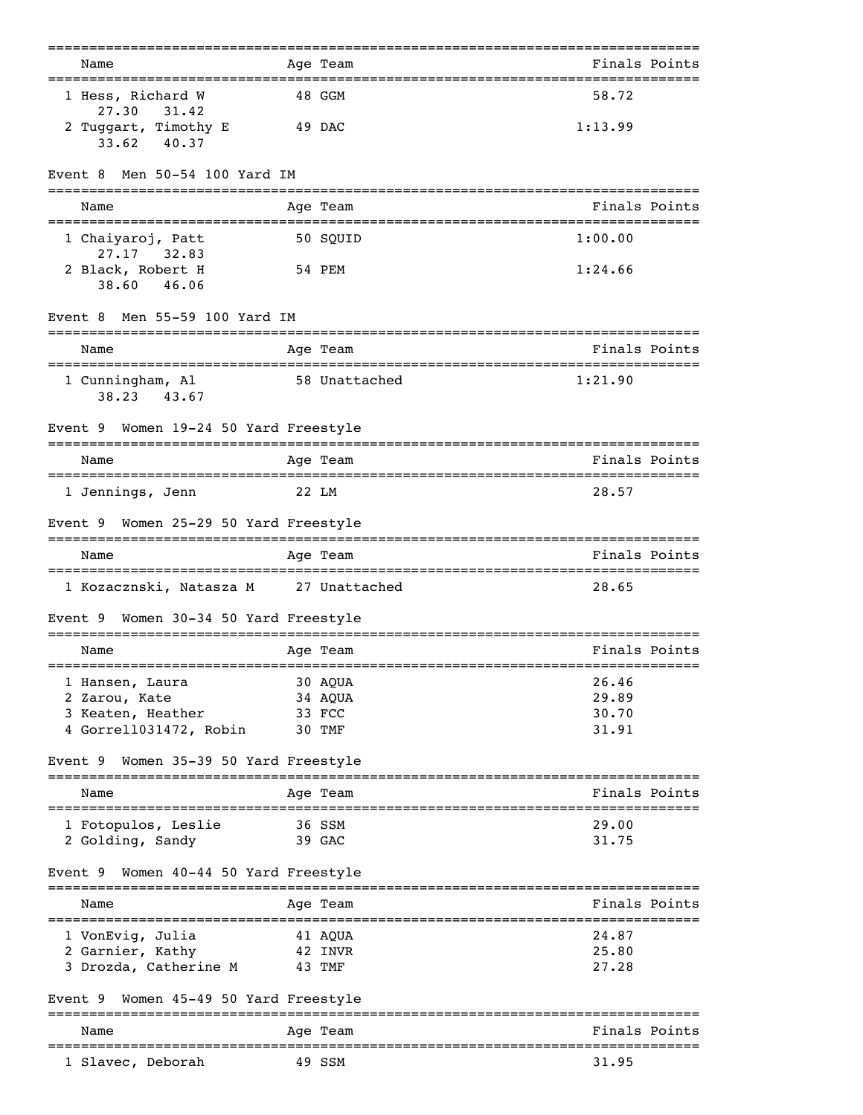| Name                                        |            | Age Team         | Finals Points                                         |
|---------------------------------------------|------------|------------------|-------------------------------------------------------|
| 1 Hess, Richard W<br>27.30<br>31.42         |            | 48 GGM           | 58.72                                                 |
| 2 Tuggart, Timothy E<br>33.62<br>40.37      |            | 49 DAC           | 1:13.99                                               |
| Men 50-54 100 Yard IM<br>Event 8            |            |                  |                                                       |
| Name                                        |            | Age Team         | Finals Points                                         |
| 1 Chaiyaroj, Patt<br>27.17 32.83            |            | 50 SOUID         | 1:00.00                                               |
| 2 Black, Robert H<br>38.60<br>46.06         |            | 54 PEM           | 1:24.66                                               |
| Men 55-59 100 Yard IM<br>Event 8            |            |                  |                                                       |
| Name                                        | .========= | Age Team         | Finals Points<br>----------------------------------   |
| 1 Cunningham, Al<br>38.23 43.67             |            | 58 Unattached    | 1:21.90                                               |
| Women 19-24 50 Yard Freestyle<br>Event 9    |            |                  |                                                       |
| Name                                        |            | Age Team         | Finals Points                                         |
| 1 Jennings, Jenn                            | 22 LM      |                  | 28.57                                                 |
| Women 25-29 50 Yard Freestyle<br>Event 9    |            |                  |                                                       |
| Name<br>===============================     |            | Age Team         | Finals Points<br>------------------------------------ |
| 1 Kozacznski, Natasza M                     |            | 27 Unattached    | 28.65                                                 |
| Women 30-34 50 Yard Freestyle<br>Event 9    |            |                  |                                                       |
| Name                                        |            | Age Team         | Finals Points                                         |
| 1 Hansen, Laura                             |            | 30 AQUA          | 26.46                                                 |
| 2 Zarou, Kate                               |            | 34 AQUA          | 29.89                                                 |
| 3 Keaten, Heather<br>4 Gorrel1031472, Robin |            | 33 FCC<br>30 TMF | 30.70<br>31.91                                        |
| Event 9 Women 35-39 50 Yard Freestyle       |            |                  |                                                       |
|                                             |            |                  |                                                       |
| Name                                        |            | Age Team         | Finals Points                                         |
| 1 Fotopulos, Leslie<br>2 Golding, Sandy     |            | 36 SSM<br>39 GAC | 29.00<br>31.75                                        |
| Women 40-44 50 Yard Freestyle<br>Event 9    |            |                  |                                                       |
| Name                                        |            | Age Team         | Finals Points                                         |
| 1 VonEvig, Julia                            |            | 41 AQUA          | 24.87                                                 |
| 2 Garnier, Kathy                            |            | 42 INVR          | 25.80                                                 |
| 3 Drozda, Catherine M                       |            | 43 TMF           | 27.28                                                 |
| Women 45-49 50 Yard Freestyle<br>Event 9    |            |                  |                                                       |
| Name                                        |            | Age Team         | Finals Points                                         |
| 1 Slavec, Deborah                           |            | 49 SSM           | 31.95                                                 |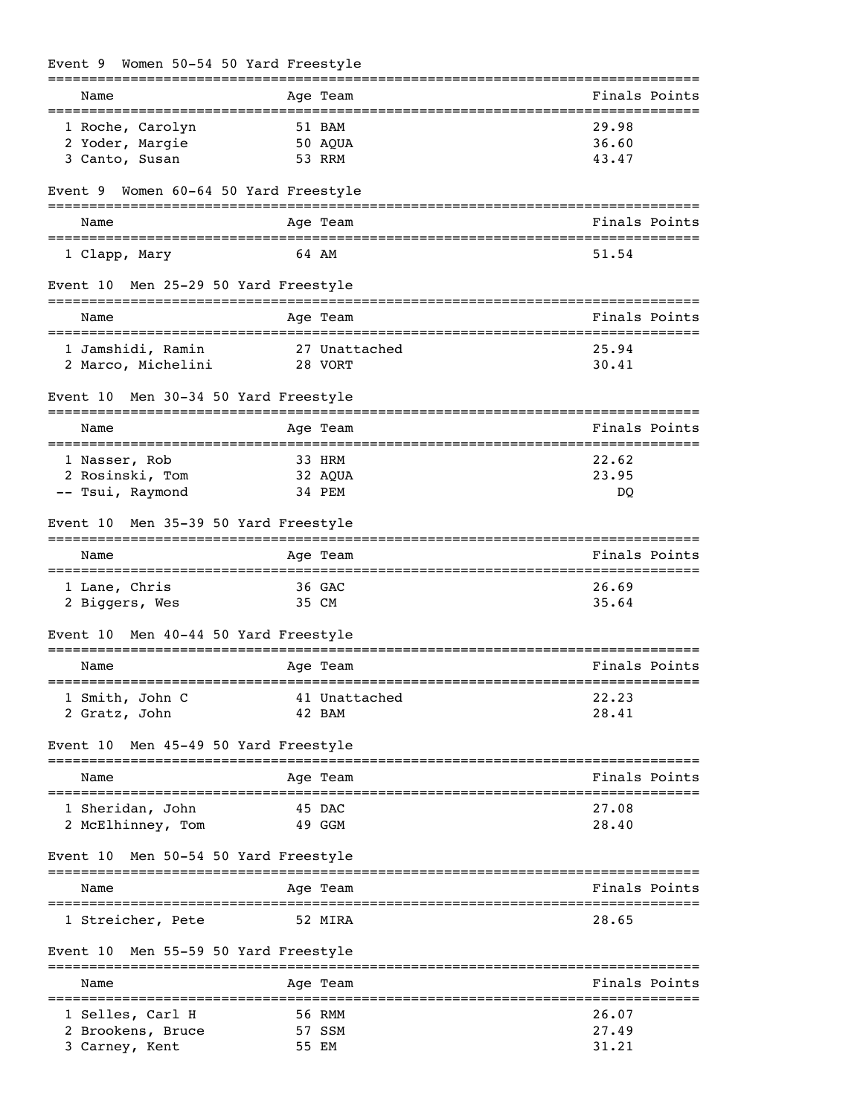# Event 9 Women 50-54 50 Yard Freestyle

|                                          |                   | ========================                 |
|------------------------------------------|-------------------|------------------------------------------|
| Name                                     | Age Team          | Finals Points                            |
| 1 Roche, Carolyn                         | 51 BAM            | -------------------------------<br>29.98 |
| 2 Yoder, Margie                          | 50 AQUA           | 36.60                                    |
| 3 Canto, Susan                           | 53 RRM            | 43.47                                    |
| Women 60-64 50 Yard Freestyle<br>Event 9 |                   |                                          |
| Name                                     | Age Team          | Finals Points                            |
|                                          |                   |                                          |
| 1 Clapp, Mary                            | 64 AM             | 51.54                                    |
| Men 25-29 50 Yard Freestyle<br>Event 10  |                   |                                          |
| Name                                     | Age Team          | Finals Points                            |
| 1 Jamshidi, Ramin                        | 27 Unattached     | 25.94                                    |
| 2 Marco, Michelini                       | 28 VORT           | 30.41                                    |
|                                          |                   |                                          |
| Men 30-34 50 Yard Freestyle<br>Event 10  |                   |                                          |
| Name                                     | Age Team          | Finals Points                            |
|                                          |                   |                                          |
| 1 Nasser, Rob                            | 33 HRM            | 22.62<br>23.95                           |
| 2 Rosinski, Tom<br>-- Tsui, Raymond      | 32 AQUA<br>34 PEM | DQ                                       |
|                                          |                   |                                          |
| Men 35-39 50 Yard Freestyle<br>Event 10  |                   |                                          |
| Name                                     | Age Team          | Finals Points                            |
| 1 Lane, Chris                            | 36 GAC            | 26.69                                    |
| 2 Biggers, Wes                           | 35 CM             | 35.64                                    |
| Men 40-44 50 Yard Freestyle<br>Event 10  |                   |                                          |
|                                          | ==============    |                                          |
| Name                                     | Age Team          | Finals Points                            |
| 1 Smith, John C                          | 41 Unattached     | 22.23                                    |
| 2 Gratz, John                            | 42 BAM            | 28.41                                    |
| Men 45-49 50 Yard Freestyle<br>Event 10  |                   |                                          |
| Name                                     | Age Team          | Finals Points                            |
|                                          |                   |                                          |
| 1 Sheridan, John                         | 45 DAC            | 27.08                                    |
| 2 McElhinney, Tom                        | 49 GGM            | 28.40                                    |
| Men 50-54 50 Yard Freestyle<br>Event 10  |                   |                                          |
| ========================<br>Name         | Age Team          | Finals Points                            |
| 1 Streicher, Pete                        | 52 MIRA           | 28.65                                    |
| Men 55-59 50 Yard Freestyle<br>Event 10  |                   |                                          |
| Name                                     | Age Team          | ---------------------<br>Finals Points   |
|                                          |                   |                                          |
| 1 Selles, Carl H                         | 56 RMM            | 26.07                                    |
| 2 Brookens, Bruce                        | 57 SSM            | 27.49                                    |
| 3 Carney, Kent                           | 55 EM             | 31.21                                    |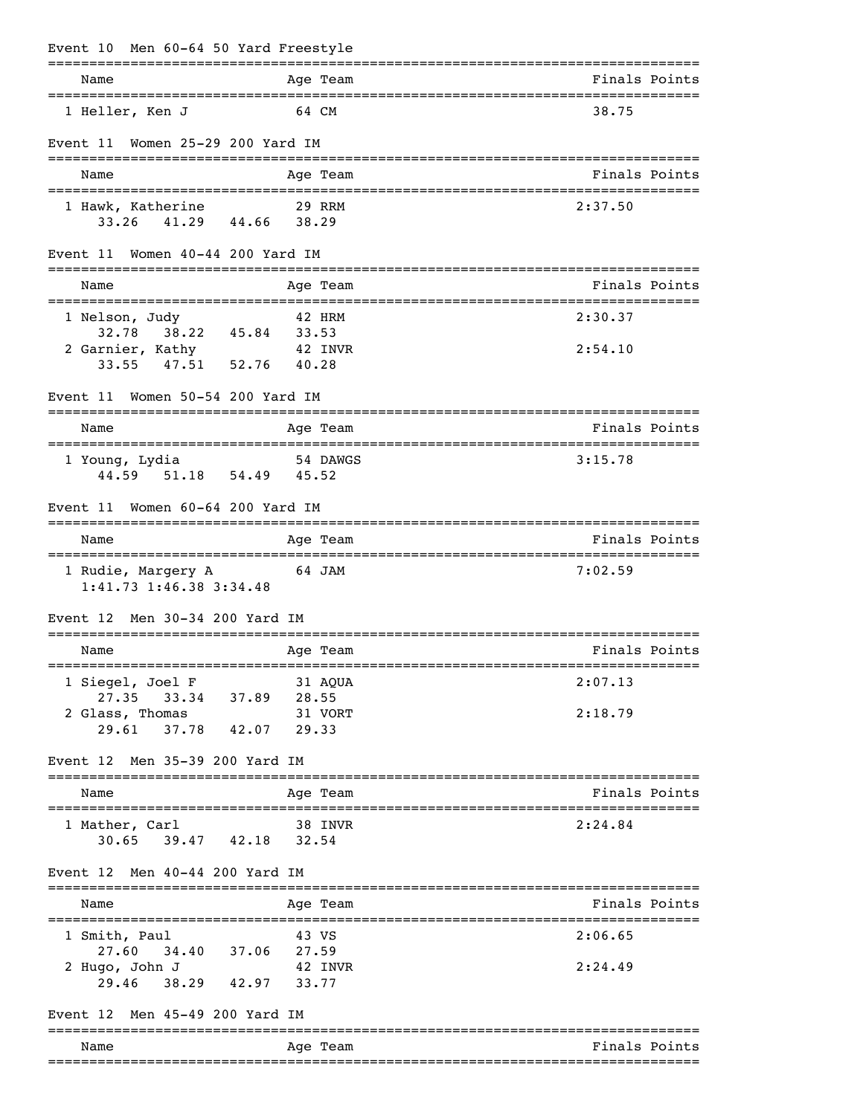| Event 10 Men 60-64 50 Yard Freestyle                                       |                              |                                             |
|----------------------------------------------------------------------------|------------------------------|---------------------------------------------|
| Name                                                                       | Age Team                     | Finals Points                               |
| 1 Heller, Ken J                                                            | 64 CM                        | 38.75                                       |
| Women 25-29 200 Yard IM<br>Event 11                                        |                              |                                             |
| Name                                                                       | Age Team                     | Finals Points                               |
| 1 Hawk, Katherine<br>33.26 41.29 44.66 38.29                               | 29 RRM                       | 2:37.50                                     |
| Women $40-44$ 200 Yard IM<br>Event 11                                      |                              |                                             |
| Name                                                                       | Age Team                     | Finals Points                               |
| 1 Nelson, Judy                                                             | 42 HRM                       | 2:30.37                                     |
| 38.22 45.84<br>32.78<br>2 Garnier, Kathy<br>33.55 47.51 52.76              | 33.53<br>42 INVR<br>40.28    | 2:54.10                                     |
| Women 50-54 200 Yard IM<br>Event 11                                        |                              |                                             |
| Name                                                                       | Age Team                     | Finals Points                               |
| 1 Young, Lydia<br>44.59 51.18 54.49                                        | 54 DAWGS<br>45.52            | 3:15.78                                     |
| Women 60-64 200 Yard IM<br>Event 11                                        |                              |                                             |
| ------------<br>Name                                                       | ----------------<br>Age Team | Finals Points                               |
| 1 Rudie, Margery A<br>1:41.73 1:46.38 3:34.48                              | 64 JAM                       | 7:02.59                                     |
| Men 30-34 200 Yard IM<br>Event 12                                          |                              |                                             |
| Name                                                                       | Age Team                     | Finals Points<br>===============            |
| 1 Siegel, Joel F                                                           | 31 AQUA                      | 2:07.13                                     |
| 33.34 37.89 28.55<br>27.35<br>2 Glass, Thomas                              | 31 VORT                      | 2:18.79                                     |
| 29.61 37.78 42.07 29.33                                                    |                              |                                             |
| Event 12 Men 35-39 200 Yard IM                                             |                              |                                             |
| Name                                                                       | Age Team                     | Finals Points                               |
| 1 Mather, Carl<br>30.65 39.47 42.18 32.54                                  | 38 INVR                      | 2:24.84                                     |
| Event 12 Men 40-44 200 Yard IM                                             |                              |                                             |
| Name                                                                       | Age Team                     | Finals Points                               |
| 1 Smith, Paul                                                              | 43 VS                        | ================================<br>2:06.65 |
| 34.40 37.06 27.59<br>27.60<br>2 Hugo, John J<br>38.29 42.97 33.77<br>29.46 | 42 INVR                      | 2:24.49                                     |
| Event 12 Men 45-49 200 Yard IM                                             |                              |                                             |
| Name                                                                       | Age Team                     | Finals Points                               |
|                                                                            |                              |                                             |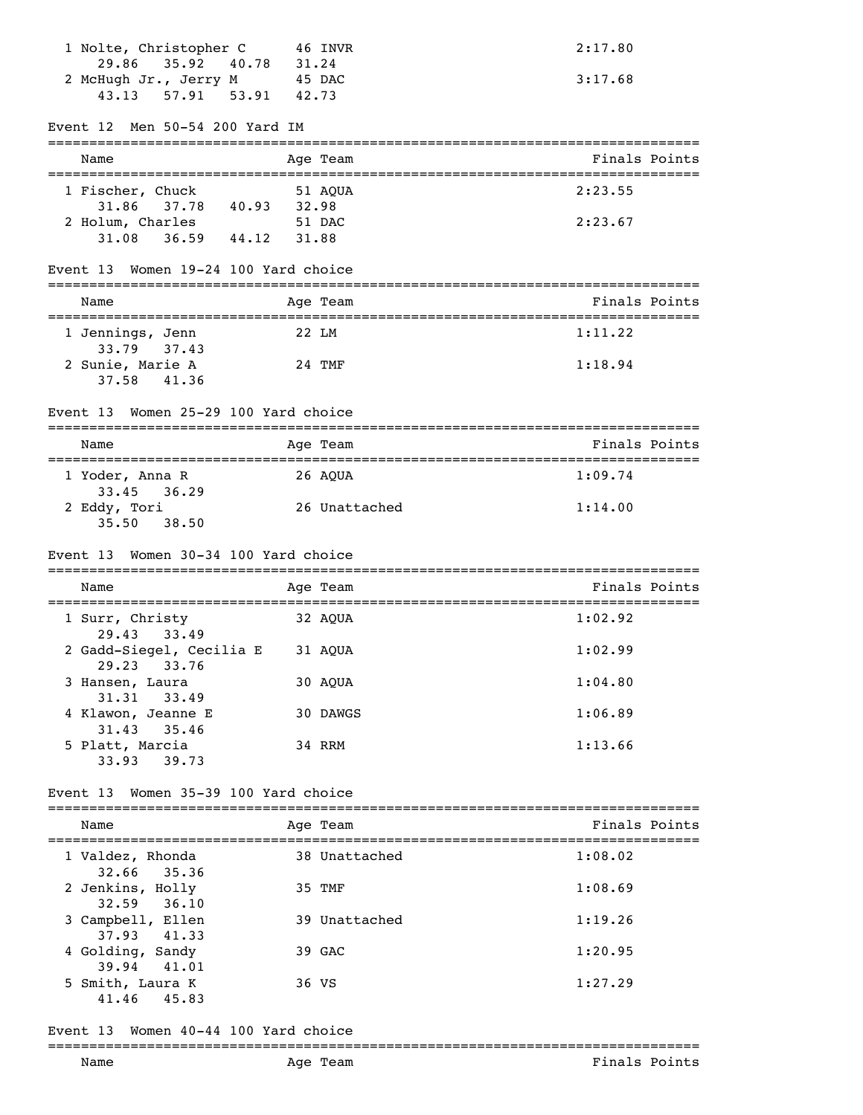|                                                    | 46 INVR       | 2:17.80       |
|----------------------------------------------------|---------------|---------------|
| 35.92<br>29.86<br>40.78                            | 31.24         |               |
| 2 McHugh Jr., Jerry M 45 DAC                       |               | 3:17.68       |
| 43.13 57.91 53.91                                  | 42.73         |               |
| Men 50-54 200 Yard IM<br>Event 12                  |               |               |
|                                                    |               | Finals Points |
| Name                                               | Age Team      |               |
| 1 Fischer, Chuck                                   | 51 AQUA       | 2:23.55       |
| 37.78 40.93 32.98<br>31.86<br>2 Holum, Charles     | 51 DAC        | 2:23.67       |
| $31.08$ $36.59$ $44.12$                            | 31.88         |               |
|                                                    |               |               |
| Event 13 Women 19-24 100 Yard choice               |               |               |
| Name                                               | Age Team      | Finals Points |
| 1 Jennings, Jenn                                   | 22 LM         | 1:11.22       |
| 33.79<br>37.43<br>2 Sunie, Marie A                 | 24 TMF        | 1:18.94       |
| 37.58<br>41.36                                     |               |               |
|                                                    |               |               |
| Event 13 Women 25-29 100 Yard choice               |               |               |
| Name                                               | Age Team      | Finals Points |
| 1 Yoder, Anna R                                    | 26 AQUA       | 1:09.74       |
| 33.45<br>36.29<br>2 Eddy, Tori                     | 26 Unattached | 1:14.00       |
| 35.50<br>38.50                                     |               |               |
|                                                    |               |               |
| Event 13 Women 30-34 100 Yard choice               |               |               |
| Name                                               | Age Team      | Finals Points |
| 1 Surr, Christy                                    | 32 AQUA       | 1:02.92       |
| 29.43<br>33.49<br>2 Gadd-Siegel, Cecilia E 31 AQUA |               |               |
|                                                    |               |               |
| 29.23<br>33.76                                     |               | 1:02.99       |
| 3 Hansen, Laura                                    | 30 AQUA       | 1:04.80       |
| 31.31 33.49<br>4 Klawon, Jeanne E                  | 30 DAWGS      | 1:06.89       |
| 31.43<br>35.46                                     |               |               |
| 5 Platt, Marcia                                    | 34 RRM        | 1:13.66       |
| 33.93 39.73                                        |               |               |
| Event 13 Women 35-39 100 Yard choice               |               |               |
| Name                                               | Age Team      | Finals Points |
| 1 Valdez, Rhonda                                   | 38 Unattached | 1:08.02       |
| 32.66 35.36                                        |               |               |
| 2 Jenkins, Holly<br>32.59 36.10                    | 35 TMF        | 1:08.69       |
| 3 Campbell, Ellen                                  | 39 Unattached | 1:19.26       |
| 37.93 41.33<br>4 Golding, Sandy                    | 39 GAC        | 1:20.95       |
| 39.94 41.01                                        |               |               |
| 5 Smith, Laura K                                   | 36 VS         | 1:27.29       |
| 41.46 45.83                                        |               |               |

=============================================================================== Name Age Team Age Team Finals Points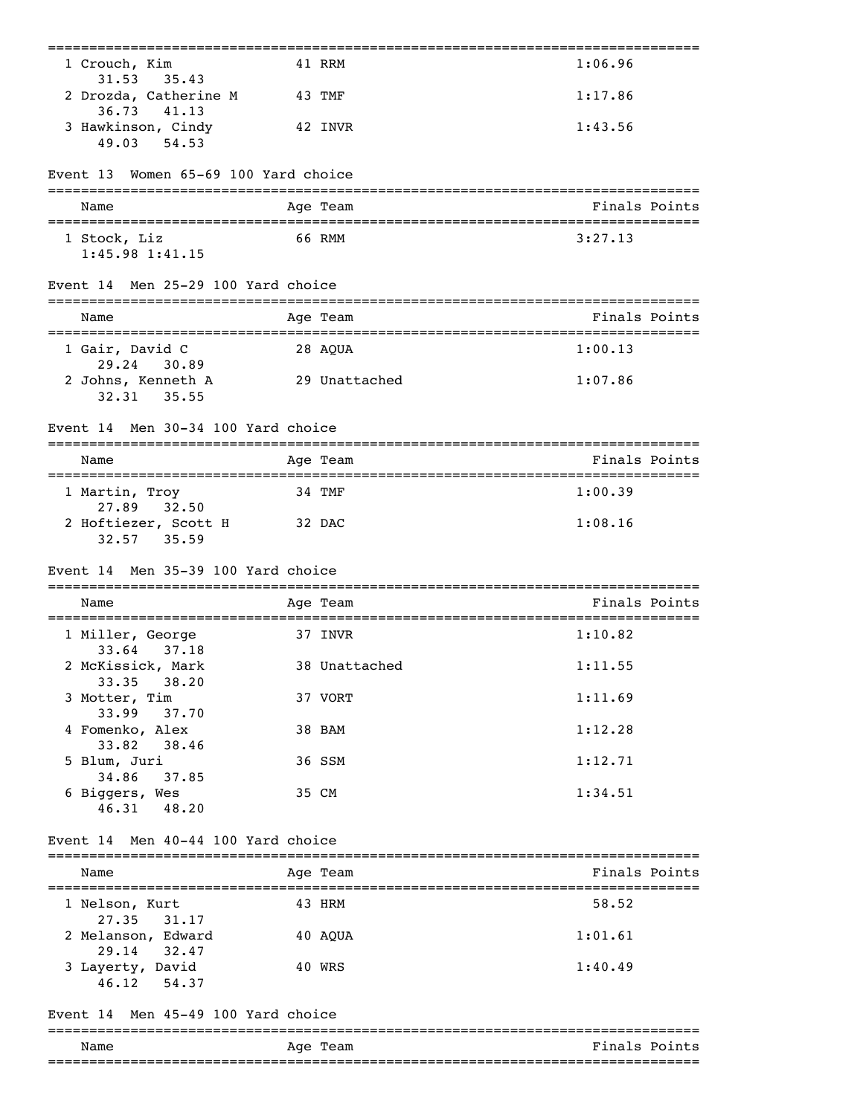| 1 Crouch, Kim<br>35.43<br>31.53                        | 41 RRM        | 1:06.96       |
|--------------------------------------------------------|---------------|---------------|
| 2 Drozda, Catherine M<br>36.73<br>41.13                | 43 TMF        | 1:17.86       |
| 3 Hawkinson, Cindy<br>49.03 54.53                      | 42 INVR       | 1:43.56       |
| Women 65-69 100 Yard choice<br>Event 13                |               |               |
| Name                                                   | Age Team      | Finals Points |
| 1 Stock, Liz<br>$1:45.98$ $1:41.15$                    | 66 RMM        | 3:27.13       |
| Event 14 Men 25-29 100 Yard choice                     |               |               |
| Name                                                   | Age Team      | Finals Points |
| 1 Gair, David C                                        | 28 AOUA       | 1:00.13       |
| 30.89<br>29.24<br>2 Johns, Kenneth A<br>35.55<br>32.31 | 29 Unattached | 1:07.86       |
| Event 14 Men 30-34 100 Yard choice                     |               |               |
| Name                                                   | Age Team      | Finals Points |
| 1 Martin, Troy                                         | 34 TMF        | 1:00.39       |
|                                                        |               |               |
| 27.89 32.50<br>2 Hoftiezer, Scott H<br>32.57<br>35.59  | 32 DAC        | 1:08.16       |
| Event 14 Men 35-39 100 Yard choice                     |               |               |
| Name                                                   | Age Team      | Finals Points |
| 1 Miller, George                                       | 37 INVR       | 1:10.82       |
| 33.64<br>37.18<br>2 McKissick, Mark                    | 38 Unattached | 1:11.55       |
| 38.20<br>33.35<br>3 Motter, Tim                        | 37 VORT       | 1:11.69       |
| 33.99<br>37.70<br>4 Fomenko, Alex                      | 38 BAM        | 1:12.28       |
| 33.82<br>38.46<br>5 Blum, Juri                         | 36 SSM        | 1:12.71       |
| 34.86<br>37.85<br>6 Biggers, Wes<br>48.20<br>46.31     | 35 CM         | 1:34.51       |
| Event 14 Men 40-44 100 Yard choice                     |               |               |
| Name                                                   | Aqe Team      | Finals Points |
| 1 Nelson, Kurt                                         | 43 HRM        | 58.52         |
| 27.35<br>31.17<br>2 Melanson, Edward                   | 40 AQUA       | 1:01.61       |
| 29.14 32.47<br>3 Layerty, David<br>46.12<br>54.37      | 40 WRS        | 1:40.49       |
| Event 14 Men 45-49 100 Yard choice                     |               |               |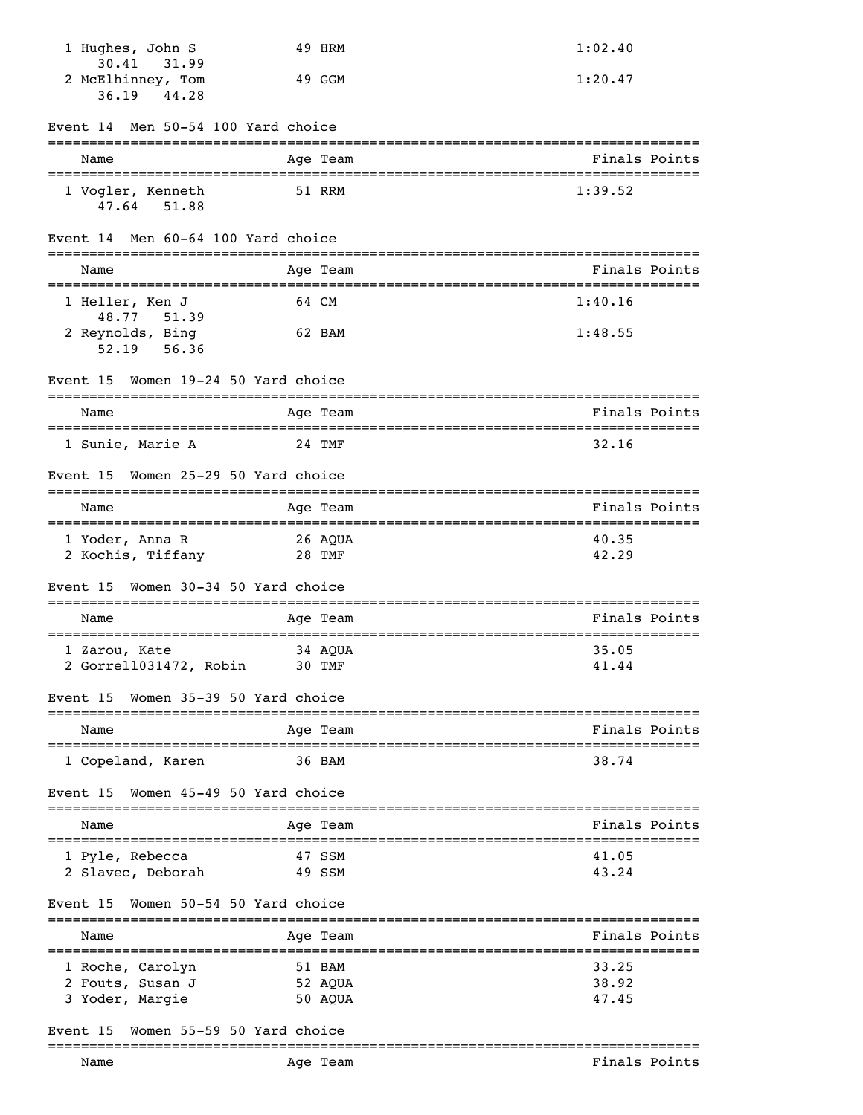| 1 Hughes, John S                                   | 49 HRM                             | 1:02.40                          |
|----------------------------------------------------|------------------------------------|----------------------------------|
| 30.41<br>31.99<br>2 McElhinney, Tom<br>36.19 44.28 | 49 GGM                             | 1:20.47                          |
| Men 50-54 100 Yard choice<br>Event 14              |                                    |                                  |
| Name                                               | Age Team                           | Finals Points                    |
| 1 Vogler, Kenneth<br>47.64 51.88                   | 51 RRM                             | 1:39.52                          |
| Men 60-64 100 Yard choice<br>Event 14              |                                    |                                  |
| Name                                               | Age Team                           | Finals Points                    |
| 1 Heller, Ken J<br>48.77 51.39                     | 64 CM                              | 1:40.16                          |
| 2 Reynolds, Bing<br>52.19 56.36                    | 62 BAM                             | 1:48.55                          |
| Event 15 Women 19-24 50 Yard choice                |                                    |                                  |
| Name                                               | Age Team                           | Finals Points                    |
| 1 Sunie, Marie A                                   | 24 TMF                             | 32.16                            |
| Women 25-29 50 Yard choice<br>Event 15             |                                    |                                  |
| Name                                               | Age Team                           | Finals Points                    |
| 1 Yoder, Anna R<br>2 Kochis, Tiffany               | 26 AQUA<br>28 TMF                  | 40.35<br>42.29                   |
| Women 30-34 50 Yard choice<br>Event 15             |                                    |                                  |
| Name                                               | Age Team<br>---------------------- | Finals Points                    |
| 1 Zarou, Kate<br>2 Gorrel1031472, Robin            | 34 AQUA<br>30 TMF                  | 35.05<br>41.44                   |
| Women 35-39 50 Yard choice<br>Event 15             |                                    |                                  |
| Name                                               | Age Team                           | Finals Points                    |
| 1 Copeland, Karen                                  | 36 BAM                             | 38.74                            |
| Women 45-49 50 Yard choice<br>Event 15             |                                    | -------------                    |
| Name                                               | Age Team                           | Finals Points                    |
| 1 Pyle, Rebecca<br>2 Slavec, Deborah               | 47 SSM<br>49 SSM                   | 41.05<br>43.24                   |
| Women 50-54 50 Yard choice<br>Event 15             | ======================             |                                  |
| Name                                               | Age Team                           | Finals Points<br>=============== |
| 1 Roche, Carolyn                                   | 51 BAM                             | 33.25                            |
| 2 Fouts, Susan J<br>3 Yoder, Margie                | 52 AQUA<br>50 AQUA                 | 38.92<br>47.45                   |
| Women 55-59 50 Yard choice<br>Event 15             |                                    |                                  |
| Name                                               | Age Team                           | Finals Points                    |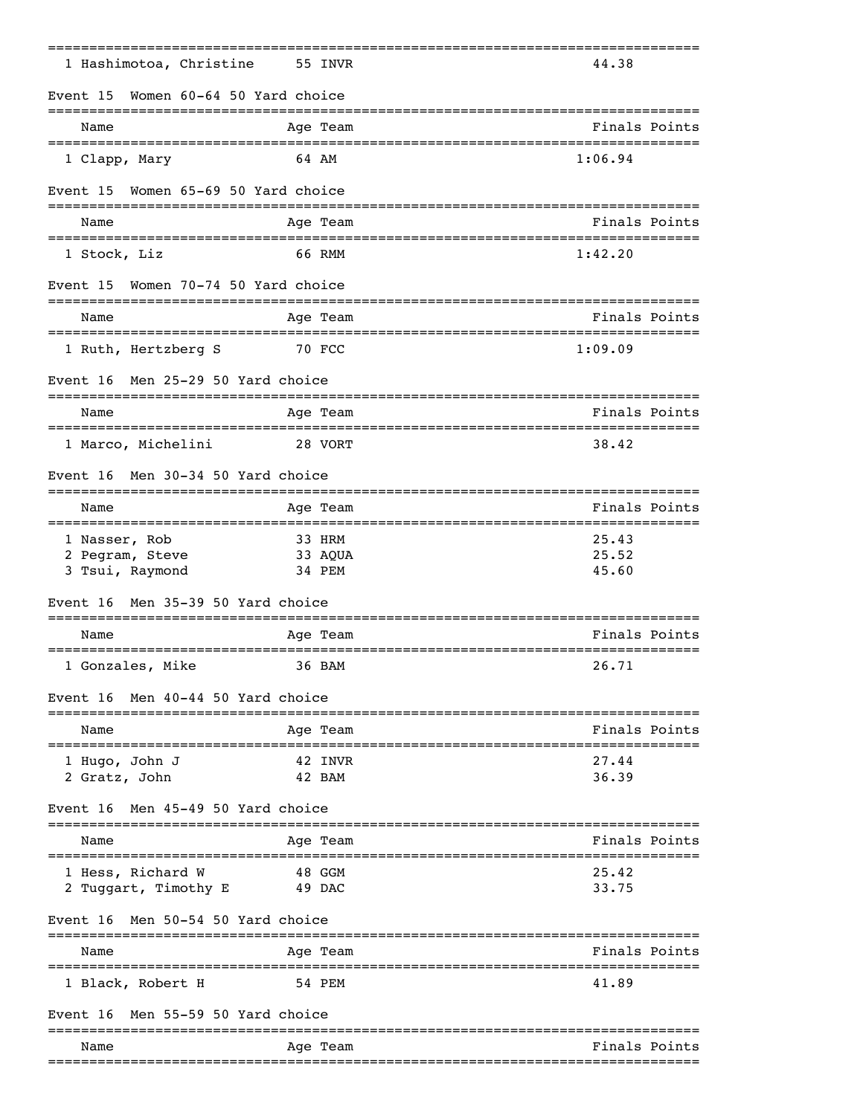| 1 Hashimotoa, Christine                                            | 55 INVR                            | 44.38          |
|--------------------------------------------------------------------|------------------------------------|----------------|
| Women 60-64 50 Yard choice<br>Event 15                             |                                    |                |
| Name                                                               | Age Team                           | Finals Points  |
| 1 Clapp, Mary                                                      | 64 AM                              | 1:06.94        |
| Women 65-69 50 Yard choice<br>Event 15                             |                                    |                |
| Name                                                               | Age Team                           | Finals Points  |
| 1 Stock, Liz                                                       | 66 RMM                             | 1:42.20        |
| Women 70-74 50 Yard choice<br>Event 15                             |                                    |                |
| Name                                                               | ______________________<br>Age Team | Finals Points  |
| 1 Ruth, Hertzberg S                                                | 70 FCC                             | 1:09.09        |
| Men 25-29 50 Yard choice<br>Event 16                               |                                    |                |
| Name                                                               | Age Team                           | Finals Points  |
| 1 Marco, Michelini                                                 | 28 VORT                            | 38.42          |
| Men 30-34 50 Yard choice<br>Event 16                               |                                    |                |
| Name                                                               | Age Team                           | Finals Points  |
| 1 Nasser, Rob                                                      | 33 HRM                             | 25.43          |
| 2 Pegram, Steve<br>3 Tsui, Raymond                                 | 33 AQUA<br>34 PEM                  | 25.52<br>45.60 |
| Men 35-39 50 Yard choice<br>Event 16                               |                                    |                |
| Name                                                               | Age Team                           | Finals Points  |
| 1 Gonzales, Mike                                                   | ==========<br>36 BAM               | 26.71          |
| Event 16 Men 40-44 50 Yard choice                                  |                                    |                |
| ========================<br>Name                                   | Age Team                           | Finals Points  |
| 1 Hugo, John J                                                     | 42 INVR                            | 27.44          |
| 2 Gratz, John                                                      | 42 BAM                             | 36.39          |
| Men 45-49 50 Yard choice<br>Event 16<br>__________________________ |                                    |                |
| Name                                                               | Age Team                           | Finals Points  |
| 1 Hess, Richard W<br>2 Tuggart, Timothy E                          | 48 GGM<br>49 DAC                   | 25.42<br>33.75 |
| Men 50-54 50 Yard choice<br>Event 16                               |                                    |                |
|                                                                    | ==========                         |                |
| Name<br>====================                                       | Age Team                           | Finals Points  |
| 1 Black, Robert H                                                  | 54 PEM                             | 41.89          |
| Men 55-59 50 Yard choice<br>Event 16                               |                                    |                |
| Name                                                               | Age Team                           | Finals Points  |
|                                                                    |                                    |                |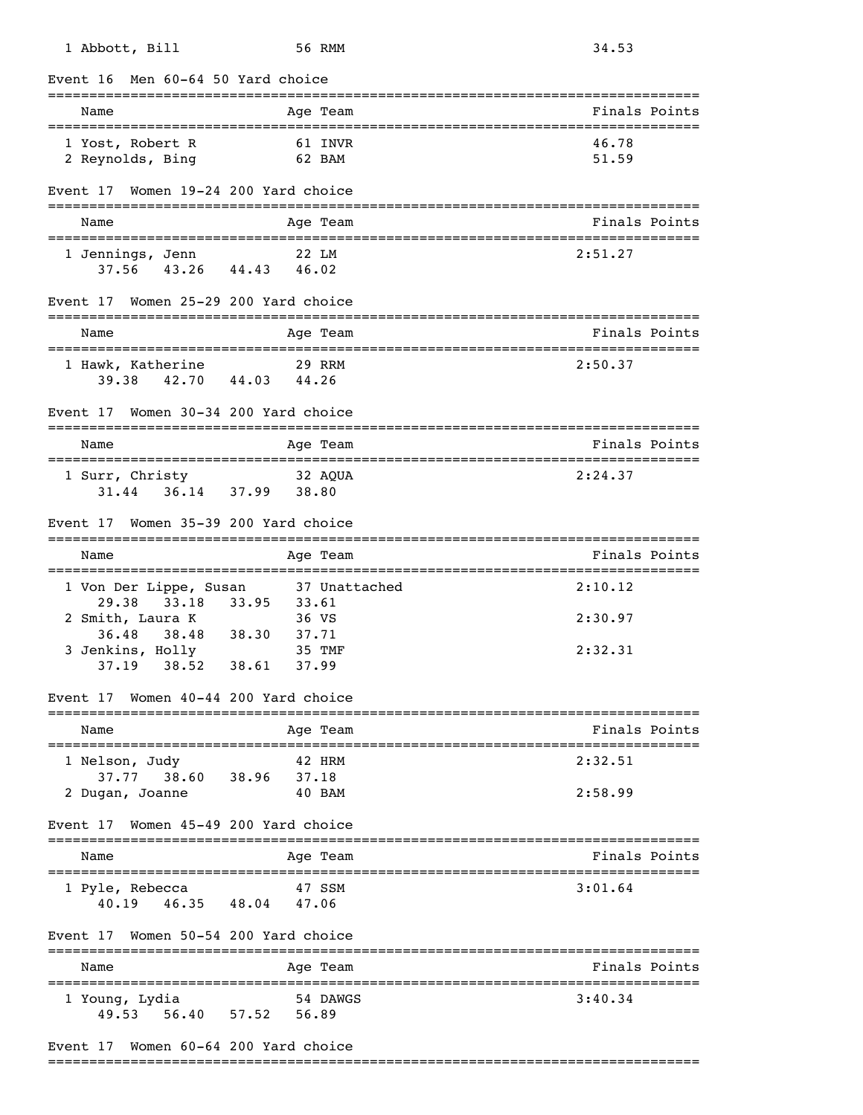| 1 Abbott, Bill                                                | 56 RMM                      | 34.53                             |
|---------------------------------------------------------------|-----------------------------|-----------------------------------|
| Event 16                                                      | Men 60-64 50 Yard choice    |                                   |
| Name                                                          | Age Team                    | Finals Points                     |
| 1 Yost, Robert R<br>2 Reynolds, Bing                          | 61 INVR<br>62 BAM           | 46.78<br>51.59                    |
| Event 17                                                      | Women 19-24 200 Yard choice |                                   |
| Name                                                          | Age Team                    | Finals Points                     |
| 1 Jennings, Jenn<br>$37.56$ 43.26 44.43 46.02                 | 22 LM                       | 2:51.27                           |
| Event 17                                                      | Women 25-29 200 Yard choice |                                   |
| Name                                                          | Age Team                    | Finals Points                     |
| 1 Hawk, Katherine<br>39.38 42.70 44.03 44.26                  | 29 RRM                      | 2:50.37                           |
| Event 17 Women 30-34 200 Yard choice                          |                             |                                   |
| Name                                                          | Age Team                    | Finals Points<br>================ |
| 1 Surr, Christy<br>$31.44$ $36.14$ $37.99$ $38.80$            | 32 AQUA                     | 2:24.37                           |
| Event 17                                                      | Women 35-39 200 Yard choice |                                   |
| Name                                                          | Age Team                    | Finals Points                     |
| 1 Von Der Lippe, Susan                                        | 37 Unattached               | 2:10.12                           |
| 29.38<br>2 Smith, Laura K                                     | 33.18 33.95 33.61<br>36 VS  | 2:30.97                           |
| 36.48<br>38.48<br>3 Jenkins, Holly<br>37.19 38.52 38.61 37.99 | 38.30<br>37.71<br>35 TMF    | 2:32.31                           |
| Event 17 Women 40-44 200 Yard choice                          |                             |                                   |
| Name                                                          | Age Team                    | Finals Points                     |
| 1 Nelson, Judy<br>37.77 38.60 38.96 37.18                     | 42 HRM                      | 2:32.51                           |
| 2 Dugan, Joanne                                               | 40 BAM                      | 2:58.99                           |
| Event 17 Women 45-49 200 Yard choice                          |                             |                                   |
| Name                                                          | Age Team                    | Finals Points                     |
| 1 Pyle, Rebecca<br>40.19  46.35  48.04  47.06                 | 47 SSM                      | 3:01.64                           |
| Event 17 Women 50-54 200 Yard choice                          |                             |                                   |
| Name                                                          | Age Team                    | Finals Points                     |
| 1 Young, Lydia<br>49.53 56.40 57.52 56.89                     | 54 DAWGS                    | 3:40.34                           |

## Event 17 Women 60-64 200 Yard choice

===============================================================================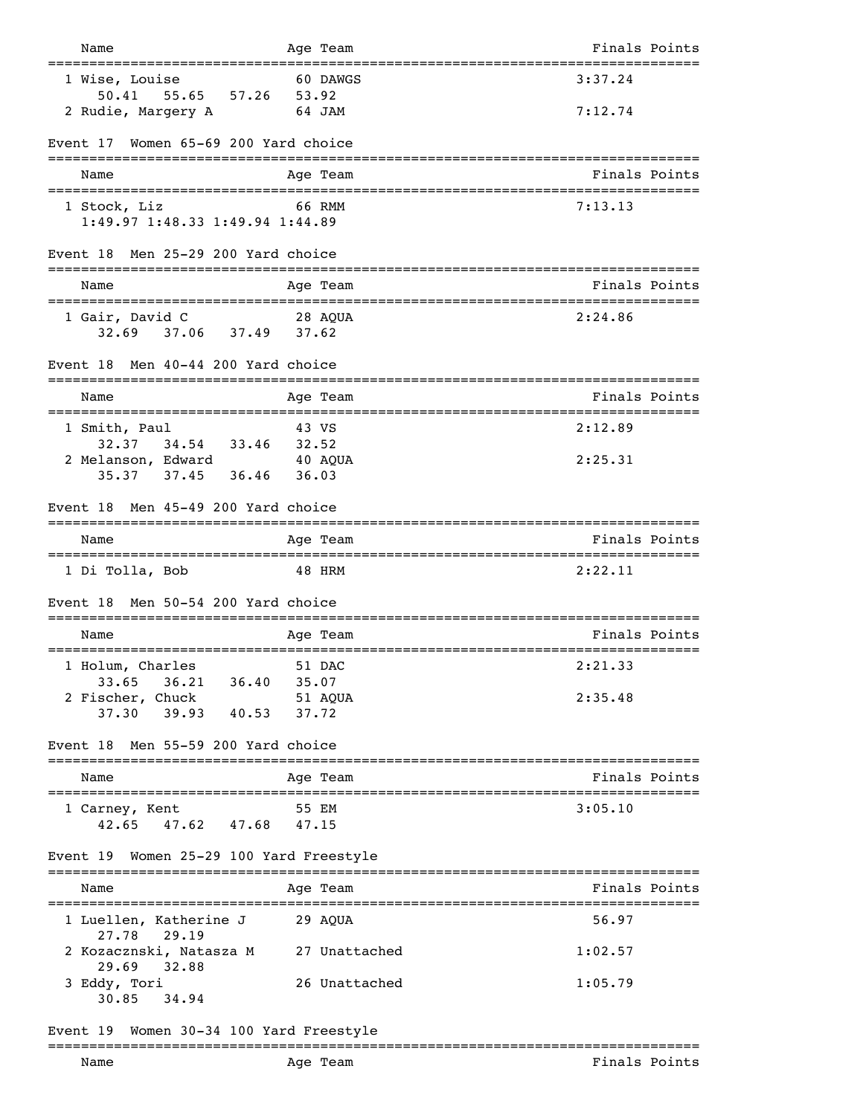| Name                                                                | Age Team                        | Finals Points |
|---------------------------------------------------------------------|---------------------------------|---------------|
| 1 Wise, Louise<br>55.65<br>50.41                                    | 60 DAWGS<br>$57.26$ $53.92$     | 3:37.24       |
| 2 Rudie, Margery A                                                  | 64 JAM                          | 7:12.74       |
| Women 65-69 200 Yard choice<br>Event 17                             |                                 |               |
| Name                                                                | Age Team                        | Finals Points |
| 1 Stock, Liz<br>1:49.97 1:48.33 1:49.94 1:44.89                     | 66 RMM                          | 7:13.13       |
| Men 25-29 200 Yard choice<br>Event 18                               |                                 |               |
| Name                                                                | Age Team                        | Finals Points |
| 1 Gair, David C<br>37.06 37.49 37.62<br>32.69                       | 28 AOUA                         | 2:24.86       |
| Men 40-44 200 Yard choice<br>Event 18<br>-------------------------- | ------------                    |               |
| Name                                                                | Age Team                        | Finals Points |
| 1 Smith, Paul<br>32.37 34.54 33.46 32.52                            | 43 VS                           | 2:12.89       |
| 2 Melanson, Edward<br>$35.37$ $37.45$ $36.46$                       | 40 AQUA<br>36.03                | 2:25.31       |
| Men 45-49 200 Yard choice<br>Event 18                               |                                 |               |
| Name                                                                | Age Team                        | Finals Points |
| 1 Di Tolla, Bob                                                     | 48 HRM                          | 2:22.11       |
| Men 50-54 200 Yard choice<br>Event 18                               |                                 |               |
| Name                                                                | Age Team                        | Finals Points |
| 1 Holum, Charles<br>$36.21$ $36.40$<br>33.65                        | 51 DAC                          | 2:21.33       |
| 2 Fischer, Chuck<br>39.93<br>37.30                                  | 35.07<br>51 AQUA<br>40.53 37.72 | 2:35.48       |
| Men 55-59 200 Yard choice<br>Event 18                               |                                 |               |
| Name                                                                | Age Team                        | Finals Points |
| 1 Carney, Kent<br>42.65 47.62 47.68 47.15                           | 55 EM                           | 3:05.10       |
| Women 25-29 100 Yard Freestyle<br>Event 19                          |                                 |               |
| Name                                                                | Age Team                        | Finals Points |
| 1 Luellen, Katherine J<br>29.19<br>27.78                            | 29 AOUA                         | 56.97         |
| 2 Kozacznski, Natasza M<br>29.69<br>32.88                           | 27 Unattached                   | 1:02.57       |
| 3 Eddy, Tori<br>30.85<br>34.94                                      | 26 Unattached                   | 1:05.79       |
| Event 19 Women 30-34 100 Yard Freestyle                             |                                 |               |
| Name                                                                | Age Team                        | Finals Points |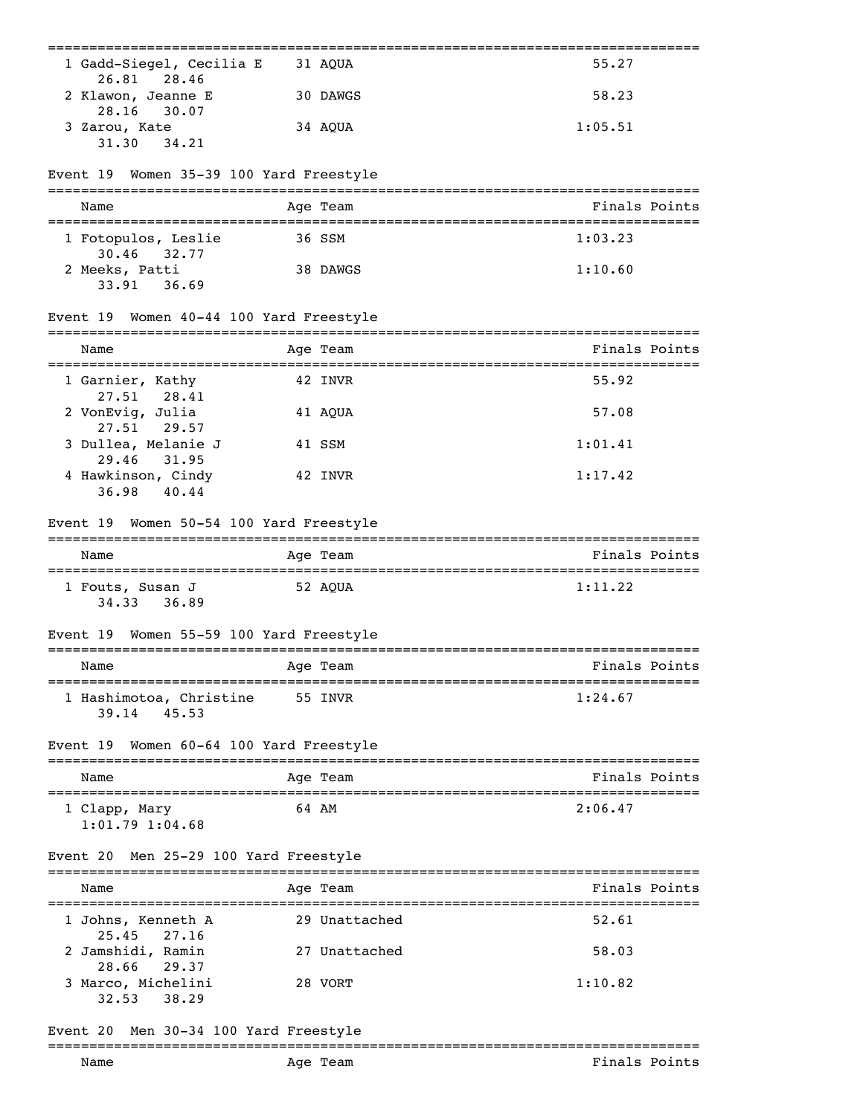| 1 Gadd-Siegel, Cecilia E<br>26.81<br>28.46                                   | 31 AQUA       | 55.27                                         |
|------------------------------------------------------------------------------|---------------|-----------------------------------------------|
| 2 Klawon, Jeanne E<br>28.16<br>30.07                                         | 30 DAWGS      | 58.23                                         |
| 3 Zarou, Kate<br>31.30<br>34.21                                              | 34 AQUA       | 1:05.51                                       |
| Event 19 Women 35-39 100 Yard Freestyle                                      |               |                                               |
| Name                                                                         | Aqe Team      | Finals Points                                 |
| 1 Fotopulos, Leslie<br>30.46 32.77                                           | 36 SSM        | 1:03.23                                       |
| 2 Meeks, Patti<br>33.91<br>36.69                                             | 38 DAWGS      | 1:10.60                                       |
| Event 19 Women 40-44 100 Yard Freestyle<br>_________________________________ |               |                                               |
| Name                                                                         | Age Team      | Finals Points                                 |
| 1 Garnier, Kathy<br>27.51<br>28.41                                           | 42 INVR       | 55.92                                         |
| 2 VonEvig, Julia<br>27.51<br>29.57                                           | 41 AQUA       | 57.08                                         |
| 3 Dullea, Melanie J<br>29.46<br>31.95                                        | 41 SSM        | 1:01.41                                       |
| 4 Hawkinson, Cindy<br>40.44<br>36.98                                         | 42 INVR       | 1:17.42                                       |
| Event 19 Women 50-54 100 Yard Freestyle                                      |               |                                               |
| Name                                                                         | Age Team      | Finals Points                                 |
| 1 Fouts, Susan J<br>34.33<br>36.89                                           | 52 AQUA       | 1:11.22                                       |
| Event 19 Women 55-59 100 Yard Freestyle                                      |               |                                               |
| Name                                                                         | Age Team      | Finals Points                                 |
| =============================<br>1 Hashimotoa, Christine<br>45.53<br>39.14   | 55 INVR       | __________________________________<br>1:24.67 |
| Event 19 Women 60-64 100 Yard Freestyle                                      |               |                                               |
| Name                                                                         | Age Team      | Finals Points                                 |
| 1 Clapp, Mary<br>$1:01.79$ $1:04.68$                                         | 64 AM         | 2:06.47                                       |
| Men 25-29 100 Yard Freestyle<br>Event 20                                     |               |                                               |
| Name                                                                         | Age Team      | Finals Points                                 |
| 1 Johns, Kenneth A<br>25.45<br>27.16                                         | 29 Unattached | 52.61                                         |
| 2 Jamshidi, Ramin<br>29.37<br>28.66                                          | 27 Unattached | 58.03                                         |
| 3 Marco, Michelini<br>38.29<br>32.53                                         | 28 VORT       | 1:10.82                                       |
| Event 20<br>Men 30-34 100 Yard Freestyle                                     |               |                                               |
| Name                                                                         | Age Team      | ---------------<br>Finals Points              |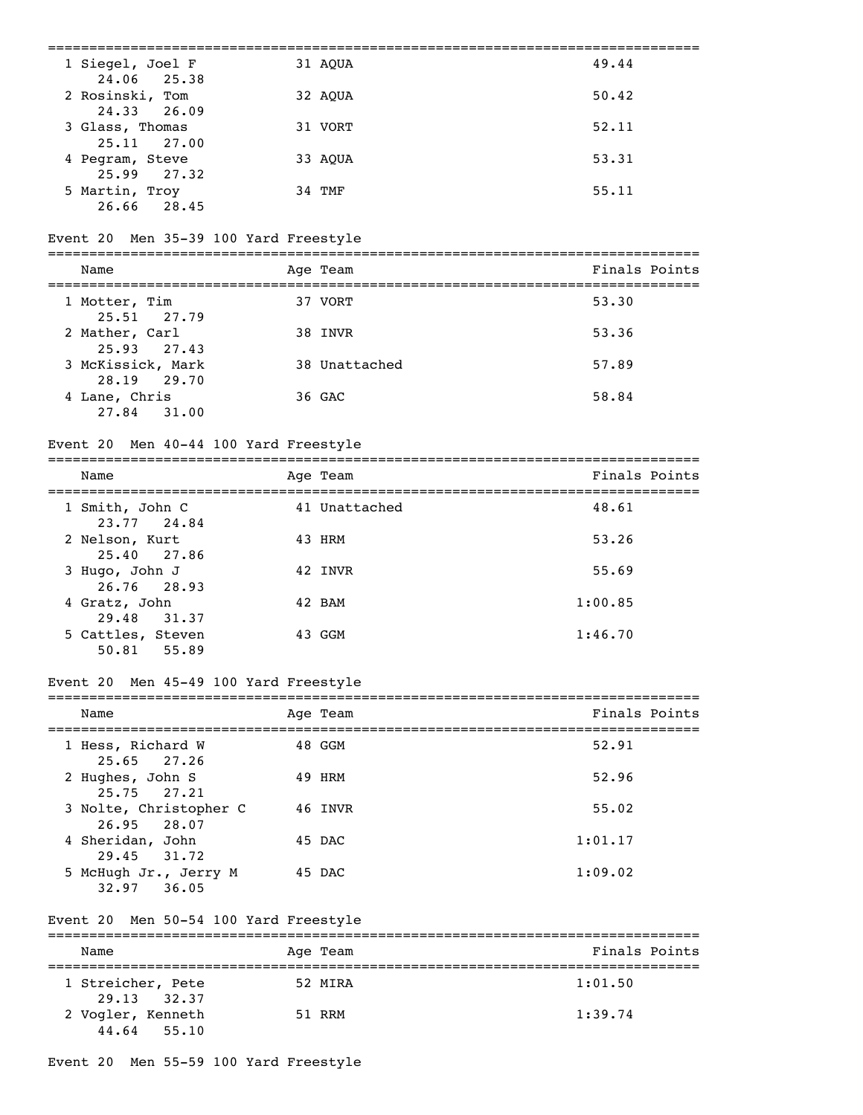| 1 Siegel, Joel F                   | 31 AOUA | 49.44 |
|------------------------------------|---------|-------|
| 24.06 25.38<br>2 Rosinski, Tom     | 32 AOUA | 50.42 |
| 24.33 26.09<br>3 Glass, Thomas     | 31 VORT | 52.11 |
| $25.11$ $27.00$<br>4 Pegram, Steve | 33 AOUA | 53.31 |
| 25.99 27.32<br>5 Martin, Troy      | 34 TMF  | 55.11 |
| 26.66 28.45                        |         |       |

## Event 20 Men 35-39 100 Yard Freestyle

| Name                             | Age Team      | Finals Points |
|----------------------------------|---------------|---------------|
| 1 Motter, Tim<br>25.51 27.79     | 37 VORT       | 53.30         |
| 2 Mather, Carl<br>25.93 27.43    | 38 INVR       | 53.36         |
| 3 McKissick, Mark<br>28.19 29.70 | 38 Unattached | 57.89         |
| 4 Lane, Chris<br>27.84 31.00     | 36 GAC        | 58.84         |

### Event 20 Men 40-44 100 Yard Freestyle

| Name                             | Age Team      | Finals Points |
|----------------------------------|---------------|---------------|
| 1 Smith, John C<br>23.77 24.84   | 41 Unattached | 48.61         |
| 2 Nelson, Kurt<br>25.40 27.86    | 43 HRM        | 53.26         |
| 3 Hugo, John J<br>26.76 28.93    | 42 INVR       | 55.69         |
| 4 Gratz, John<br>29.48 31.37     | 42 BAM        | 1:00.85       |
| 5 Cattles, Steven<br>50.81 55.89 | 43 GGM        | 1:46.70       |

### Event 20 Men 45-49 100 Yard Freestyle

| Name                                     | Age Team | Finals Points |
|------------------------------------------|----------|---------------|
| 1 Hess, Richard W<br>$25.65$ $27.26$     | 48 GGM   | 52.91         |
| 2 Hughes, John S<br>25.75 27.21          | 49 HRM   | 52.96         |
| 3 Nolte, Christopher C<br>26.95 28.07    | 46 INVR  | 55.02         |
| 4 Sheridan, John<br>29.45 31.72          | 45 DAC   | 1:01.17       |
| 5 McHugh Jr., Jerry M<br>$32.97$ $36.05$ | 45 DAC   | 1:09.02       |

### Event 20 Men 50-54 100 Yard Freestyle

=============================================================================== Name Age Team Age Team Finals Points =============================================================================== 1 Streicher, Pete 29.13 32.37 2 Vogler, Kenneth 51 RRM 1:39.74 44.64 55.10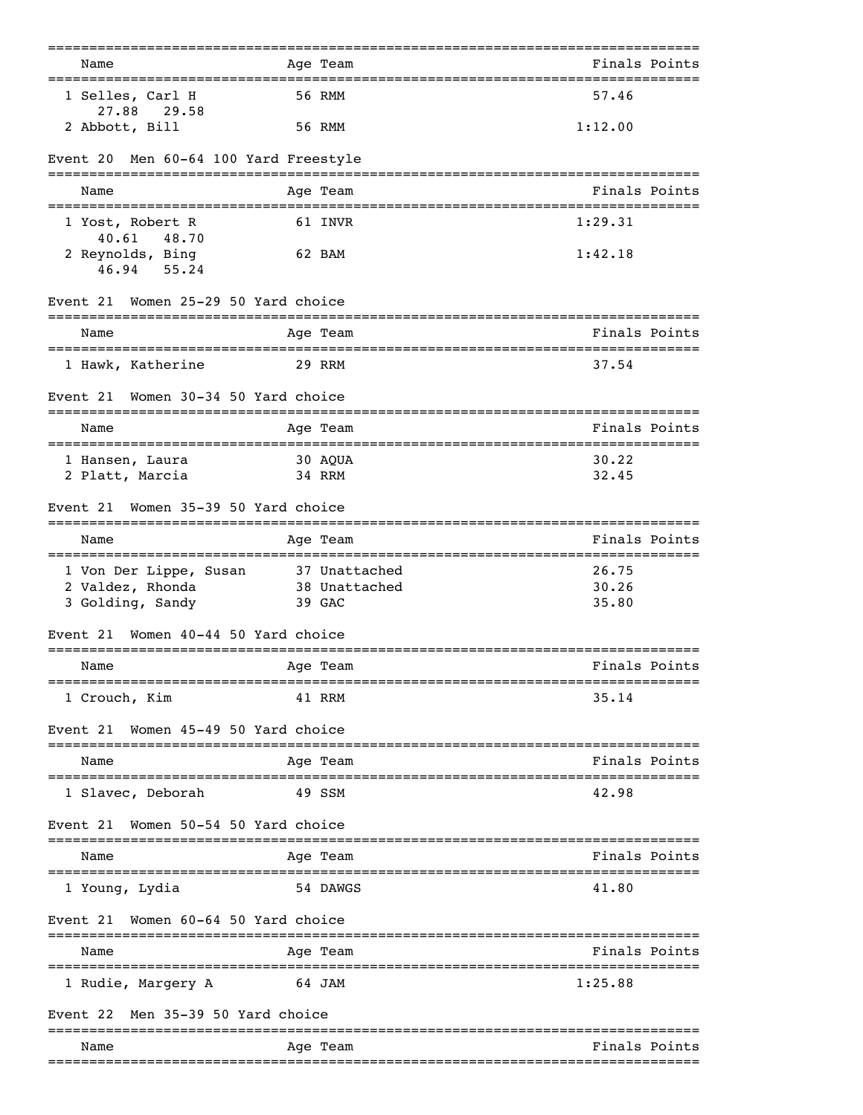| Name                                                           | Age Team                                 | Finals Points                                            |
|----------------------------------------------------------------|------------------------------------------|----------------------------------------------------------|
| 1 Selles, Carl H                                               | 56 RMM                                   | 57.46                                                    |
| 27.88<br>29.58<br>2 Abbott, Bill                               | 56 RMM                                   | 1:12.00                                                  |
| Men 60-64 100 Yard Freestyle<br>Event 20                       |                                          |                                                          |
| Name                                                           | Aqe Team                                 | Finals Points                                            |
| 1 Yost, Robert R                                               | 61 INVR                                  | 1:29.31                                                  |
| 40.61<br>48.70<br>2 Reynolds, Bing<br>46.94<br>55.24           | 62 BAM                                   | 1:42.18                                                  |
| Women 25-29 50 Yard choice<br>Event 21                         |                                          |                                                          |
| Name                                                           | Age Team                                 | Finals Points                                            |
| 1 Hawk, Katherine                                              | 29 RRM                                   | 37.54                                                    |
| Women 30-34 50 Yard choice<br>Event 21                         |                                          |                                                          |
| Name                                                           | Age Team                                 | Finals Points                                            |
| 1 Hansen, Laura<br>2 Platt, Marcia                             | 30 AQUA<br>34 RRM                        | 30.22<br>32.45                                           |
| Women 35-39 50 Yard choice<br>Event 21                         |                                          |                                                          |
| Name                                                           | Age Team                                 | Finals Points                                            |
| 1 Von Der Lippe, Susan<br>2 Valdez, Rhonda<br>3 Golding, Sandy | 37 Unattached<br>38 Unattached<br>39 GAC | =============================<br>26.75<br>30.26<br>35.80 |
| Women 40-44 50 Yard choice<br>Event 21                         | -------                                  |                                                          |
| Name                                                           | Age Team                                 | Finals Points                                            |
| 1 Crouch, Kim                                                  | 41 RRM                                   | 35.14                                                    |
| Women 45-49 50 Yard choice<br>Event 21                         |                                          |                                                          |
| Name                                                           | Age Team                                 | Finals Points                                            |
| 1 Slavec, Deborah                                              | 49 SSM                                   | 42.98                                                    |
| Women 50-54 50 Yard choice<br>Event 21                         |                                          |                                                          |
| Name                                                           | Age Team                                 | Finals Points                                            |
| 1 Young, Lydia                                                 | 54 DAWGS                                 | 41.80                                                    |
| Women 60-64 50 Yard choice<br>Event 21                         |                                          |                                                          |
| Name                                                           | ======================<br>Age Team       | Finals Points                                            |
| 1 Rudie, Margery A                                             | 64 JAM                                   | 1:25.88                                                  |
| Men 35-39 50 Yard choice<br>Event 22                           |                                          |                                                          |
| Name                                                           | Age Team                                 | Finals Points                                            |
|                                                                |                                          |                                                          |